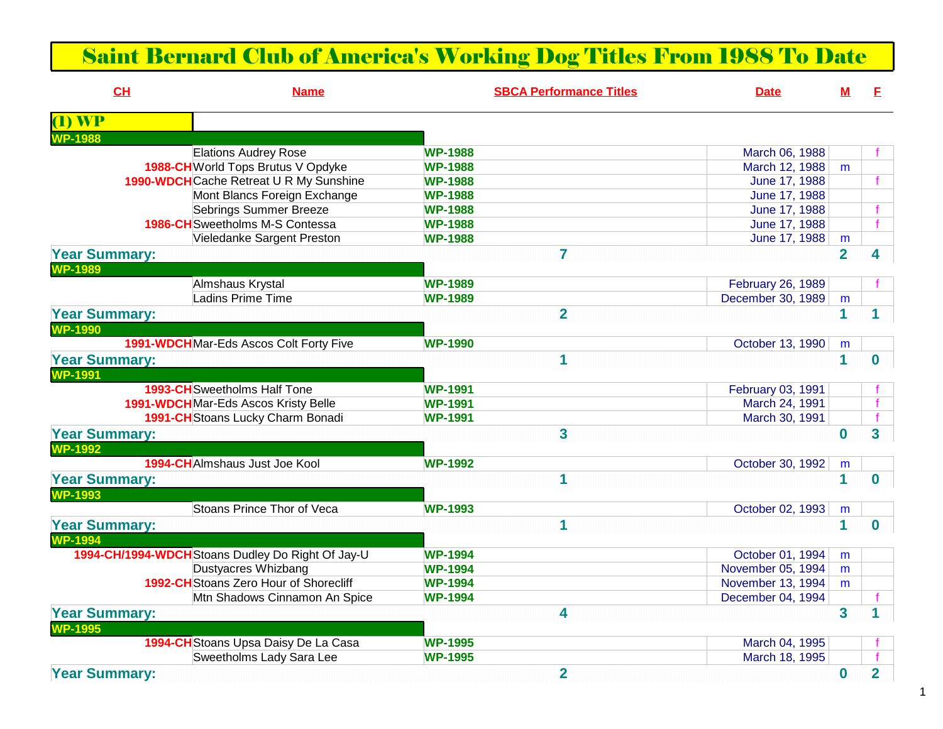## Saint Bernard Club of America's Working Dog Titles From 1988 To Date

| CH                   | <b>Name</b>                                       |                | <b>SBCA Performance Titles</b> | <b>Date</b>       | м              | F.                      |
|----------------------|---------------------------------------------------|----------------|--------------------------------|-------------------|----------------|-------------------------|
| <b>T) WP</b>         |                                                   |                |                                |                   |                |                         |
| P-1988               |                                                   |                |                                |                   |                |                         |
|                      | <b>Elations Audrey Rose</b>                       | <b>WP-1988</b> |                                | March 06, 1988    |                |                         |
|                      | 1988-CH World Tops Brutus V Opdyke                | <b>WP-1988</b> |                                | March 12, 1988    | m              |                         |
|                      | 1990-WDCHCache Retreat U R My Sunshine            | <b>WP-1988</b> |                                | June 17, 1988     |                | f                       |
|                      | Mont Blancs Foreign Exchange                      | <b>WP-1988</b> |                                | June 17, 1988     |                |                         |
|                      | <b>Sebrings Summer Breeze</b>                     | <b>WP-1988</b> |                                | June 17, 1988     |                |                         |
|                      | <b>1986-CH</b> Sweetholms M-S Contessa            | <b>WP-1988</b> |                                | June 17, 1988     |                |                         |
|                      | Vieledanke Sargent Preston                        | <b>WP-1988</b> |                                | June 17, 1988     | m              |                         |
| <b>Year Summary:</b> |                                                   |                | $\overline{7}$                 |                   | $\overline{2}$ | 4                       |
| <b>WP-1989</b>       |                                                   |                |                                |                   |                |                         |
|                      | Almshaus Krystal                                  | <b>WP-1989</b> |                                | February 26, 1989 |                |                         |
|                      | Ladins Prime Time                                 | <b>WP-1989</b> |                                | December 30, 1989 | m              |                         |
| <b>Year Summary:</b> |                                                   |                | $\overline{2}$                 |                   | 1              |                         |
| <b>WP-1990</b>       |                                                   |                |                                |                   |                |                         |
|                      | 1991-WDCHMar-Eds Ascos Colt Forty Five            | <b>WP-1990</b> |                                | October 13, 1990  | m              |                         |
| <b>Year Summary:</b> |                                                   |                | $\mathbf 1$                    |                   | $\mathbf{1}$   | <sup>0</sup>            |
| <b>WP-1991</b>       |                                                   |                |                                |                   |                |                         |
|                      | <b>1993-CH</b> Sweetholms Half Tone               | <b>WP-1991</b> |                                | February 03, 1991 |                |                         |
|                      | 1991-WDCHMar-Eds Ascos Kristy Belle               | <b>WP-1991</b> |                                | March 24, 1991    |                |                         |
|                      | 1991-CH Stoans Lucky Charm Bonadi                 | <b>WP-1991</b> |                                | March 30, 1991    |                |                         |
| <b>Year Summary:</b> |                                                   |                | 3                              |                   | $\bf{0}$       | $\overline{\mathbf{3}}$ |
| <b>WP-1992</b>       |                                                   |                |                                |                   |                |                         |
|                      | 1994-CHAImshaus Just Joe Kool                     | <b>WP-1992</b> |                                | October 30, 1992  | m              |                         |
| <b>Year Summary:</b> |                                                   |                | $\mathbf 1$                    |                   | $\mathbf 1$    | $\bf{0}$                |
| <b>WP-1993</b>       |                                                   |                |                                |                   |                |                         |
|                      | Stoans Prince Thor of Veca                        | <b>WP-1993</b> |                                | October 02, 1993  | m              |                         |
| <b>Year Summary:</b> |                                                   |                | $\mathbf 1$                    |                   | $\mathbf 1$    | $\mathbf{0}$            |
| <b>WP-1994</b>       |                                                   |                |                                |                   |                |                         |
|                      | 1994-CH/1994-WDCH Stoans Dudley Do Right Of Jay-U | <b>WP-1994</b> |                                | October 01, 1994  | m              |                         |
|                      | Dustyacres Whizbang                               | <b>WP-1994</b> |                                | November 05, 1994 | m              |                         |
|                      | 1992-CH Stoans Zero Hour of Shorecliff            | <b>WP-1994</b> |                                | November 13, 1994 | m              |                         |
|                      | Mtn Shadows Cinnamon An Spice                     | <b>WP-1994</b> |                                | December 04, 1994 |                |                         |
| <b>Year Summary:</b> |                                                   |                | 4                              |                   | $\mathbf{3}$   |                         |
| <b>WP-1995</b>       |                                                   |                |                                |                   |                |                         |
|                      | 1994-CH Stoans Upsa Daisy De La Casa              | <b>WP-1995</b> |                                | March 04, 1995    |                |                         |
|                      | Sweetholms Lady Sara Lee                          | <b>WP-1995</b> |                                | March 18, 1995    |                |                         |
|                      |                                                   |                | $\overline{2}$                 |                   |                | $\overline{2}$          |
| <b>Year Summary:</b> |                                                   |                |                                |                   | $\bf{0}$       |                         |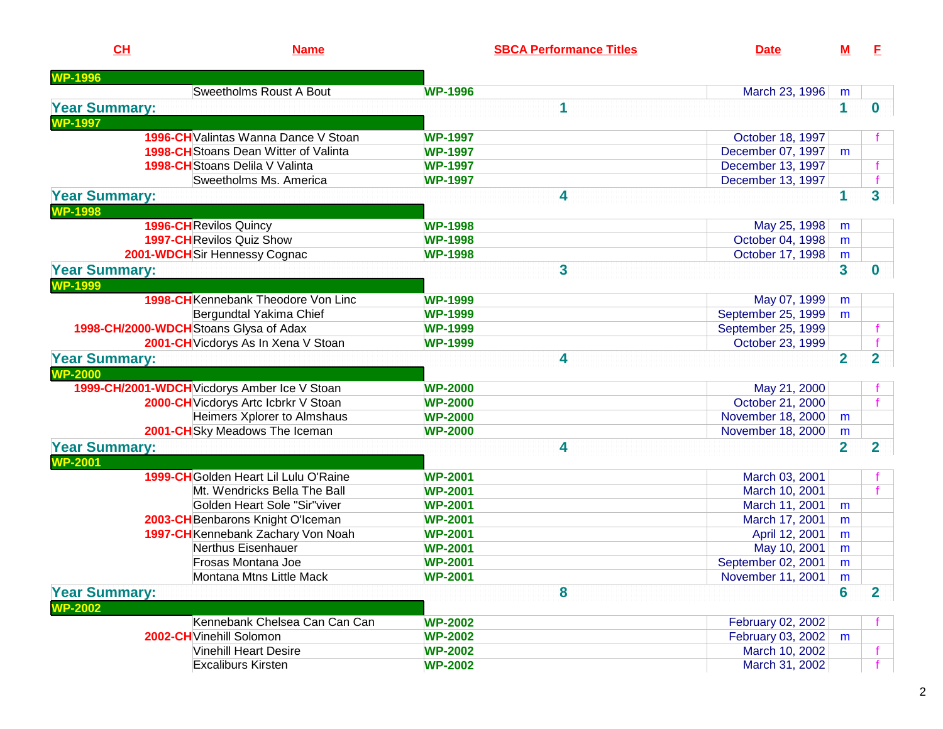| <b>WP-1996</b><br><b>Sweetholms Roust A Bout</b><br><b>WP-1996</b><br>March 23, 1996<br>m<br>1<br>1<br><b>Year Summary:</b><br><b>WP-1997</b><br>1996-CH Valintas Wanna Dance V Stoan<br><b>WP-1997</b><br>October 18, 1997<br><b>1998-CH</b> Stoans Dean Witter of Valinta<br>December 07, 1997<br><b>WP-1997</b><br>m<br>1998-CH Stoans Delila V Valinta<br>December 13, 1997<br><b>WP-1997</b><br>Sweetholms Ms. America<br>December 13, 1997<br><b>WP-1997</b><br>$\mathbf 1$<br><b>Year Summary:</b><br>4<br><b>WP-1998</b><br>1996-CHRevilos Quincy<br>May 25, 1998<br><b>WP-1998</b><br>m<br><b>1997-CH</b> Revilos Quiz Show<br>October 04, 1998<br><b>WP-1998</b><br>m | E.                      |
|---------------------------------------------------------------------------------------------------------------------------------------------------------------------------------------------------------------------------------------------------------------------------------------------------------------------------------------------------------------------------------------------------------------------------------------------------------------------------------------------------------------------------------------------------------------------------------------------------------------------------------------------------------------------------------|-------------------------|
|                                                                                                                                                                                                                                                                                                                                                                                                                                                                                                                                                                                                                                                                                 |                         |
|                                                                                                                                                                                                                                                                                                                                                                                                                                                                                                                                                                                                                                                                                 |                         |
|                                                                                                                                                                                                                                                                                                                                                                                                                                                                                                                                                                                                                                                                                 | $\mathbf 0$             |
|                                                                                                                                                                                                                                                                                                                                                                                                                                                                                                                                                                                                                                                                                 |                         |
|                                                                                                                                                                                                                                                                                                                                                                                                                                                                                                                                                                                                                                                                                 |                         |
|                                                                                                                                                                                                                                                                                                                                                                                                                                                                                                                                                                                                                                                                                 |                         |
|                                                                                                                                                                                                                                                                                                                                                                                                                                                                                                                                                                                                                                                                                 |                         |
|                                                                                                                                                                                                                                                                                                                                                                                                                                                                                                                                                                                                                                                                                 |                         |
|                                                                                                                                                                                                                                                                                                                                                                                                                                                                                                                                                                                                                                                                                 | 3                       |
|                                                                                                                                                                                                                                                                                                                                                                                                                                                                                                                                                                                                                                                                                 |                         |
|                                                                                                                                                                                                                                                                                                                                                                                                                                                                                                                                                                                                                                                                                 |                         |
|                                                                                                                                                                                                                                                                                                                                                                                                                                                                                                                                                                                                                                                                                 |                         |
| 2001-WDCH Sir Hennessy Cognac<br>October 17, 1998<br><b>WP-1998</b><br>m                                                                                                                                                                                                                                                                                                                                                                                                                                                                                                                                                                                                        |                         |
| $\overline{\mathbf{3}}$<br>3<br><b>Year Summary:</b>                                                                                                                                                                                                                                                                                                                                                                                                                                                                                                                                                                                                                            | O                       |
| <b>WP-1999</b>                                                                                                                                                                                                                                                                                                                                                                                                                                                                                                                                                                                                                                                                  |                         |
| <b>1998-CH</b> Kennebank Theodore Von Linc<br>May 07, 1999<br><b>WP-1999</b><br>m                                                                                                                                                                                                                                                                                                                                                                                                                                                                                                                                                                                               |                         |
| Bergundtal Yakima Chief<br>September 25, 1999<br><b>WP-1999</b><br>m                                                                                                                                                                                                                                                                                                                                                                                                                                                                                                                                                                                                            |                         |
| 1998-CH/2000-WDCH Stoans Glysa of Adax<br>September 25, 1999<br><b>WP-1999</b>                                                                                                                                                                                                                                                                                                                                                                                                                                                                                                                                                                                                  |                         |
| 2001-CH Vicdorys As In Xena V Stoan<br>October 23, 1999<br><b>WP-1999</b>                                                                                                                                                                                                                                                                                                                                                                                                                                                                                                                                                                                                       |                         |
| $\overline{2}$<br>4<br><b>Year Summary:</b>                                                                                                                                                                                                                                                                                                                                                                                                                                                                                                                                                                                                                                     | $\overline{\mathbf{2}}$ |
| <b>WP-2000</b>                                                                                                                                                                                                                                                                                                                                                                                                                                                                                                                                                                                                                                                                  |                         |
| 1999-CH/2001-WDCH Vicdorys Amber Ice V Stoan<br><b>WP-2000</b><br>May 21, 2000                                                                                                                                                                                                                                                                                                                                                                                                                                                                                                                                                                                                  |                         |
| 2000-CH Vicdorys Artc Icbrkr V Stoan<br>October 21, 2000<br><b>WP-2000</b>                                                                                                                                                                                                                                                                                                                                                                                                                                                                                                                                                                                                      |                         |
| Heimers Xplorer to Almshaus<br>November 18, 2000<br><b>WP-2000</b><br>m                                                                                                                                                                                                                                                                                                                                                                                                                                                                                                                                                                                                         |                         |
| 2001-CH Sky Meadows The Iceman<br>November 18, 2000<br><b>WP-2000</b><br>m                                                                                                                                                                                                                                                                                                                                                                                                                                                                                                                                                                                                      |                         |
| $\overline{2}$<br>4<br><b>Year Summary:</b>                                                                                                                                                                                                                                                                                                                                                                                                                                                                                                                                                                                                                                     | $\overline{\mathbf{2}}$ |
| <b>WP-2001</b>                                                                                                                                                                                                                                                                                                                                                                                                                                                                                                                                                                                                                                                                  |                         |
| 1999-CH Golden Heart Lil Lulu O'Raine<br>March 03, 2001<br><b>WP-2001</b>                                                                                                                                                                                                                                                                                                                                                                                                                                                                                                                                                                                                       |                         |
| Mt. Wendricks Bella The Ball<br>March 10, 2001<br><b>WP-2001</b>                                                                                                                                                                                                                                                                                                                                                                                                                                                                                                                                                                                                                |                         |
| Golden Heart Sole "Sir"viver<br>March 11, 2001<br><b>WP-2001</b><br>m                                                                                                                                                                                                                                                                                                                                                                                                                                                                                                                                                                                                           |                         |
| 2003-CH Benbarons Knight O'Iceman<br>March 17, 2001<br><b>WP-2001</b><br>m                                                                                                                                                                                                                                                                                                                                                                                                                                                                                                                                                                                                      |                         |
| 1997-CH Kennebank Zachary Von Noah<br>April 12, 2001<br><b>WP-2001</b><br>m                                                                                                                                                                                                                                                                                                                                                                                                                                                                                                                                                                                                     |                         |
| Nerthus Eisenhauer<br>May 10, 2001<br><b>WP-2001</b><br>m                                                                                                                                                                                                                                                                                                                                                                                                                                                                                                                                                                                                                       |                         |
| Frosas Montana Joe<br>September 02, 2001<br><b>WP-2001</b><br>m                                                                                                                                                                                                                                                                                                                                                                                                                                                                                                                                                                                                                 |                         |
| Montana Mtns Little Mack<br>November 11, 2001<br><b>WP-2001</b><br>m                                                                                                                                                                                                                                                                                                                                                                                                                                                                                                                                                                                                            |                         |
| 8<br>$6\phantom{1}$<br><b>Year Summary:</b>                                                                                                                                                                                                                                                                                                                                                                                                                                                                                                                                                                                                                                     | $2^{\circ}$             |
| <b>WP-2002</b>                                                                                                                                                                                                                                                                                                                                                                                                                                                                                                                                                                                                                                                                  |                         |
| Kennebank Chelsea Can Can Can<br><b>WP-2002</b><br>February 02, 2002                                                                                                                                                                                                                                                                                                                                                                                                                                                                                                                                                                                                            |                         |
| February 03, 2002<br>2002-CH Vinehill Solomon<br><b>WP-2002</b><br>m                                                                                                                                                                                                                                                                                                                                                                                                                                                                                                                                                                                                            |                         |
| <b>Vinehill Heart Desire</b><br><b>WP-2002</b><br>March 10, 2002                                                                                                                                                                                                                                                                                                                                                                                                                                                                                                                                                                                                                |                         |
| March 31, 2002<br><b>Excaliburs Kirsten</b><br><b>WP-2002</b>                                                                                                                                                                                                                                                                                                                                                                                                                                                                                                                                                                                                                   |                         |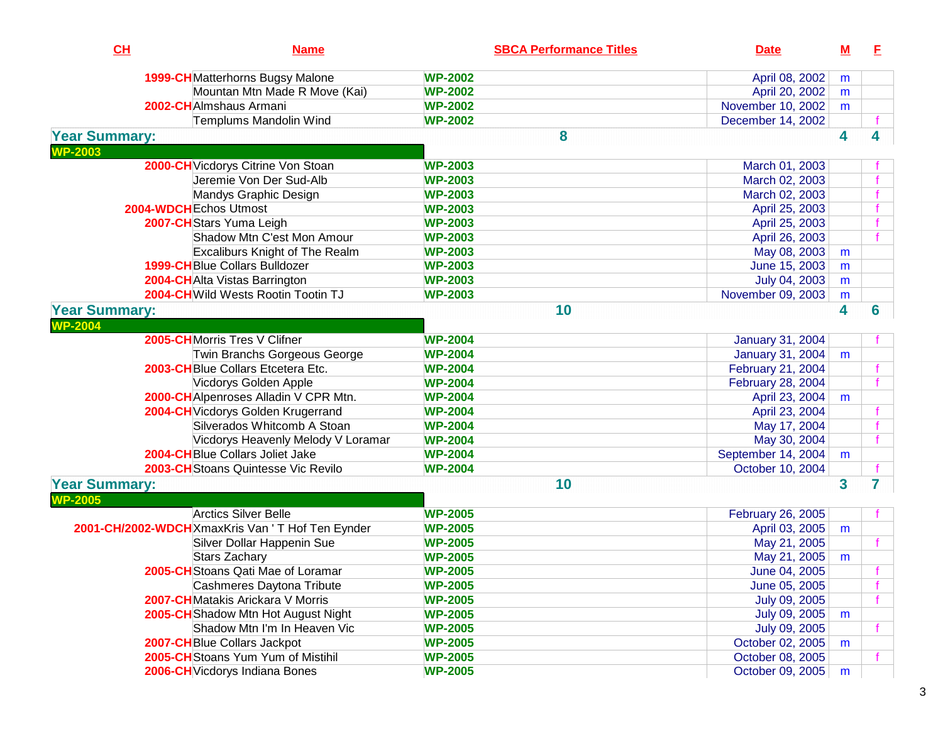| CH                                     | <b>Name</b>                                      | <b>SBCA Performance Titles</b> | <b>Date</b>             | ${\bf M}$ | E |
|----------------------------------------|--------------------------------------------------|--------------------------------|-------------------------|-----------|---|
|                                        | 1999-CHMatterhorns Bugsy Malone                  | <b>WP-2002</b>                 | April 08, 2002          | m         |   |
|                                        | Mountan Mtn Made R Move (Kai)                    | <b>WP-2002</b>                 | April 20, 2002          | m         |   |
|                                        | 2002-CH Almshaus Armani                          | <b>WP-2002</b>                 | November 10, 2002       | m         |   |
|                                        | Templums Mandolin Wind                           | <b>WP-2002</b>                 | December 14, 2002       |           |   |
| <b>Year Summary:</b>                   |                                                  | 8                              |                         | 4         | 4 |
| <b>WP-2003</b>                         |                                                  |                                |                         |           |   |
|                                        | 2000-CH Vicdorys Citrine Von Stoan               | <b>WP-2003</b>                 | March 01, 2003          |           |   |
|                                        | Jeremie Von Der Sud-Alb                          | <b>WP-2003</b>                 | March 02, 2003          |           |   |
|                                        | Mandys Graphic Design                            | <b>WP-2003</b>                 | March 02, 2003          |           |   |
|                                        | 2004-WDCHEchos Utmost                            | <b>WP-2003</b>                 | April 25, 2003          |           |   |
|                                        | 2007-CH Stars Yuma Leigh                         | <b>WP-2003</b>                 | April 25, 2003          |           |   |
|                                        | Shadow Mtn C'est Mon Amour                       | <b>WP-2003</b>                 | April 26, 2003          |           |   |
|                                        | <b>Excaliburs Knight of The Realm</b>            | <b>WP-2003</b>                 | May 08, 2003            | m         |   |
|                                        | <b>1999-CH</b> Blue Collars Bulldozer            | <b>WP-2003</b>                 | June 15, 2003           | m         |   |
|                                        | 2004-CHAlta Vistas Barrington                    | <b>WP-2003</b>                 | July 04, 2003           | m         |   |
|                                        | 2004-CH Wild Wests Rootin Tootin TJ              | <b>WP-2003</b>                 | November 09, 2003       | m         |   |
| <b>Year Summary:</b>                   |                                                  | 10                             |                         | 4         | 6 |
| <b>NP-2004</b>                         |                                                  |                                |                         |           |   |
|                                        | 2005-CHMorris Tres V Clifner                     | <b>WP-2004</b>                 | <b>January 31, 2004</b> |           |   |
|                                        | Twin Branchs Gorgeous George                     | <b>WP-2004</b>                 | <b>January 31, 2004</b> | m         |   |
|                                        | 2003-CHBlue Collars Etcetera Etc.                | <b>WP-2004</b>                 | February 21, 2004       |           |   |
|                                        | Vicdorys Golden Apple                            | <b>WP-2004</b>                 | February 28, 2004       |           |   |
|                                        | 2000-CHAIpenroses Alladin V CPR Mtn.             | <b>WP-2004</b>                 | April 23, 2004          | m         |   |
|                                        | 2004-CH Vicdorys Golden Krugerrand               | <b>WP-2004</b>                 | April 23, 2004          |           |   |
|                                        | Silverados Whitcomb A Stoan                      | <b>WP-2004</b>                 | May 17, 2004            |           |   |
|                                        | Vicdorys Heavenly Melody V Loramar               | <b>WP-2004</b>                 | May 30, 2004            |           |   |
|                                        | 2004-CHBlue Collars Joliet Jake                  | <b>WP-2004</b>                 | September 14, 2004      | m         |   |
|                                        | 2003-CH Stoans Quintesse Vic Revilo              | <b>WP-2004</b>                 | October 10, 2004        |           |   |
| <b>Year Summary:</b><br><b>NP-2005</b> |                                                  | 10                             |                         | 3         | 7 |
|                                        | <b>Arctics Silver Belle</b>                      | <b>WP-2005</b>                 | February 26, 2005       |           |   |
|                                        | 2001-CH/2002-WDCHXmaxKris Van ' T Hof Ten Eynder | <b>WP-2005</b>                 | April 03, 2005          | m         |   |
|                                        | Silver Dollar Happenin Sue                       | <b>WP-2005</b>                 | May 21, 2005            |           |   |
|                                        | Stars Zachary                                    | <b>WP-2005</b>                 | May 21, 2005            | m         |   |
|                                        | 2005-CH Stoans Qati Mae of Loramar               | <b>WP-2005</b>                 | June 04, 2005           |           |   |
|                                        | Cashmeres Daytona Tribute                        | <b>WP-2005</b>                 | June 05, 2005           |           |   |
|                                        | 2007-CHMatakis Arickara V Morris                 | <b>WP-2005</b>                 | July 09, 2005           |           |   |
|                                        | 2005-CH Shadow Mtn Hot August Night              | <b>WP-2005</b>                 | July 09, 2005           | m         |   |
|                                        | Shadow Mtn I'm In Heaven Vic                     | <b>WP-2005</b>                 | July 09, 2005           |           |   |
|                                        | 2007-CH Blue Collars Jackpot                     | <b>WP-2005</b>                 | October 02, 2005        | m         |   |
|                                        | 2005-CHStoans Yum Yum of Mistihil                | <b>WP-2005</b>                 | October 08, 2005        |           |   |
|                                        | 2006-CH Vicdorys Indiana Bones                   | <b>WP-2005</b>                 | October 09, 2005        | m         |   |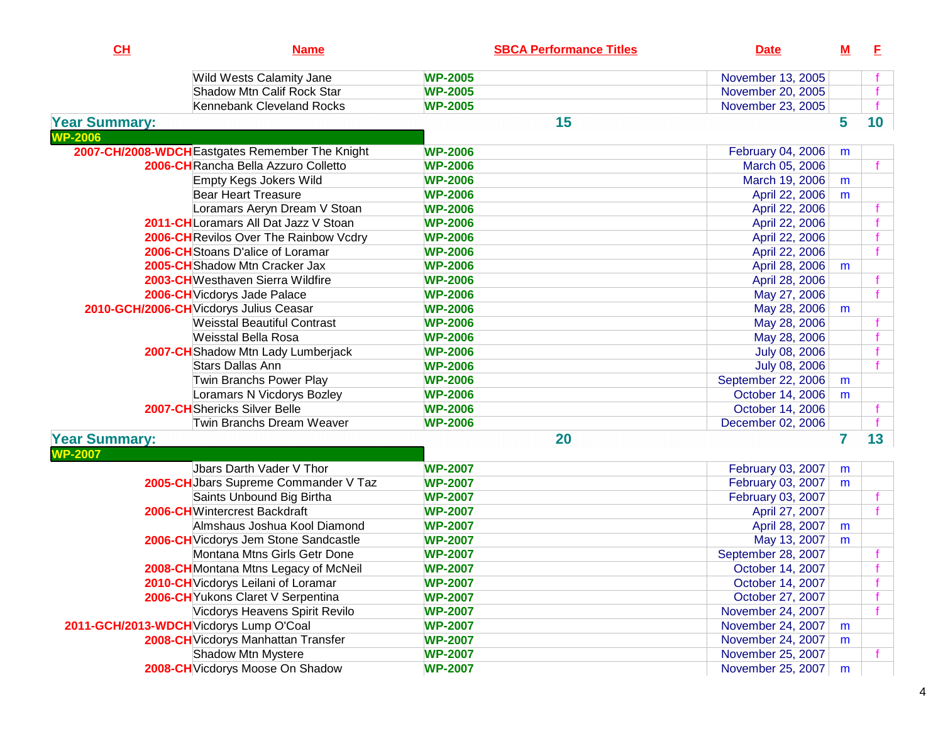| CH                                      | <b>Name</b>                                     | <b>SBCA Performance Titles</b> | <b>Date</b>          | <u>M</u> | E  |
|-----------------------------------------|-------------------------------------------------|--------------------------------|----------------------|----------|----|
|                                         | Wild Wests Calamity Jane                        | <b>WP-2005</b>                 | November 13, 2005    |          |    |
|                                         | Shadow Mtn Calif Rock Star                      | <b>WP-2005</b>                 | November 20, 2005    |          |    |
|                                         | Kennebank Cleveland Rocks                       | <b>WP-2005</b>                 | November 23, 2005    |          |    |
| <b>Year Summary:</b>                    |                                                 | 15                             |                      | 5        | 10 |
| <b>WP-2006</b>                          |                                                 |                                |                      |          |    |
|                                         | 2007-CH/2008-WDCH Eastgates Remember The Knight | <b>WP-2006</b>                 | February 04, 2006    | m        |    |
|                                         | 2006-CHRancha Bella Azzuro Colletto             | <b>WP-2006</b>                 | March 05, 2006       |          |    |
|                                         | <b>Empty Kegs Jokers Wild</b>                   | <b>WP-2006</b>                 | March 19, 2006       | m        |    |
|                                         | Bear Heart Treasure                             | <b>WP-2006</b>                 | April 22, 2006       | m        |    |
|                                         | Loramars Aeryn Dream V Stoan                    | <b>WP-2006</b>                 | April 22, 2006       |          |    |
|                                         | 2011-CHLoramars All Dat Jazz V Stoan            | <b>WP-2006</b>                 | April 22, 2006       |          |    |
|                                         | 2006-CH Revilos Over The Rainbow Vcdry          | <b>WP-2006</b>                 | April 22, 2006       |          |    |
|                                         | 2006-CH Stoans D'alice of Loramar               | <b>WP-2006</b>                 | April 22, 2006       |          |    |
|                                         | 2005-CH Shadow Mtn Cracker Jax                  | <b>WP-2006</b>                 | April 28, 2006       | m        |    |
|                                         | 2003-CHWesthaven Sierra Wildfire                | <b>WP-2006</b>                 | April 28, 2006       |          |    |
|                                         | 2006-CH Vicdorys Jade Palace                    | <b>WP-2006</b>                 | May 27, 2006         |          |    |
|                                         | 2010-GCH/2006-CH Vicdorys Julius Ceasar         | <b>WP-2006</b>                 | May 28, 2006         | m        |    |
|                                         | <b>Weisstal Beautiful Contrast</b>              | <b>WP-2006</b>                 | May 28, 2006         |          |    |
|                                         | Weisstal Bella Rosa                             | <b>WP-2006</b>                 | May 28, 2006         |          |    |
|                                         | 2007-CH Shadow Mtn Lady Lumberjack              | <b>WP-2006</b>                 | <b>July 08, 2006</b> |          |    |
|                                         | <b>Stars Dallas Ann</b>                         | <b>WP-2006</b>                 | July 08, 2006        |          |    |
|                                         | Twin Branchs Power Play                         | <b>WP-2006</b>                 | September 22, 2006   | m        |    |
|                                         | Loramars N Vicdorys Bozley                      | <b>WP-2006</b>                 | October 14, 2006     | m        |    |
|                                         | <b>2007-CH</b> Shericks Silver Belle            | <b>WP-2006</b>                 | October 14, 2006     |          |    |
|                                         | Twin Branchs Dream Weaver                       | <b>WP-2006</b>                 | December 02, 2006    |          |    |
| <b>Year Summary:</b>                    |                                                 | 20                             |                      | 7        | 13 |
| <b>WP-2007</b>                          |                                                 |                                |                      |          |    |
|                                         | Jbars Darth Vader V Thor                        | <b>WP-2007</b>                 | February 03, 2007    | m        |    |
|                                         | 2005-CH Jbars Supreme Commander V Taz           | <b>WP-2007</b>                 | February 03, 2007    | m        |    |
|                                         | Saints Unbound Big Birtha                       | <b>WP-2007</b>                 | February 03, 2007    |          |    |
|                                         | 2006-CHWintercrest Backdraft                    | <b>WP-2007</b>                 | April 27, 2007       |          |    |
|                                         | Almshaus Joshua Kool Diamond                    | <b>WP-2007</b>                 | April 28, 2007       | m        |    |
|                                         | 2006-CH Vicdorys Jem Stone Sandcastle           | <b>WP-2007</b>                 | May 13, 2007         | m        |    |
|                                         | Montana Mtns Girls Getr Done                    | <b>WP-2007</b>                 | September 28, 2007   |          |    |
|                                         | 2008-CH Montana Mtns Legacy of McNeil           | <b>WP-2007</b>                 | October 14, 2007     |          |    |
|                                         | 2010-CH Vicdorys Leilani of Loramar             | <b>WP-2007</b>                 | October 14, 2007     |          |    |
|                                         | 2006-CH Yukons Claret V Serpentina              | <b>WP-2007</b>                 | October 27, 2007     |          |    |
|                                         | Vicdorys Heavens Spirit Revilo                  | <b>WP-2007</b>                 | November 24, 2007    |          |    |
| 2011-GCH/2013-WDCH Vicdorys Lump O'Coal |                                                 | <b>WP-2007</b>                 | November 24, 2007    | m        |    |
|                                         | 2008-CH Vicdorys Manhattan Transfer             | <b>WP-2007</b>                 | November 24, 2007    | m        |    |
|                                         | Shadow Mtn Mystere                              | <b>WP-2007</b>                 | November 25, 2007    |          |    |
|                                         | 2008-CH Vicdorys Moose On Shadow                | <b>WP-2007</b>                 | November 25, 2007    | m        |    |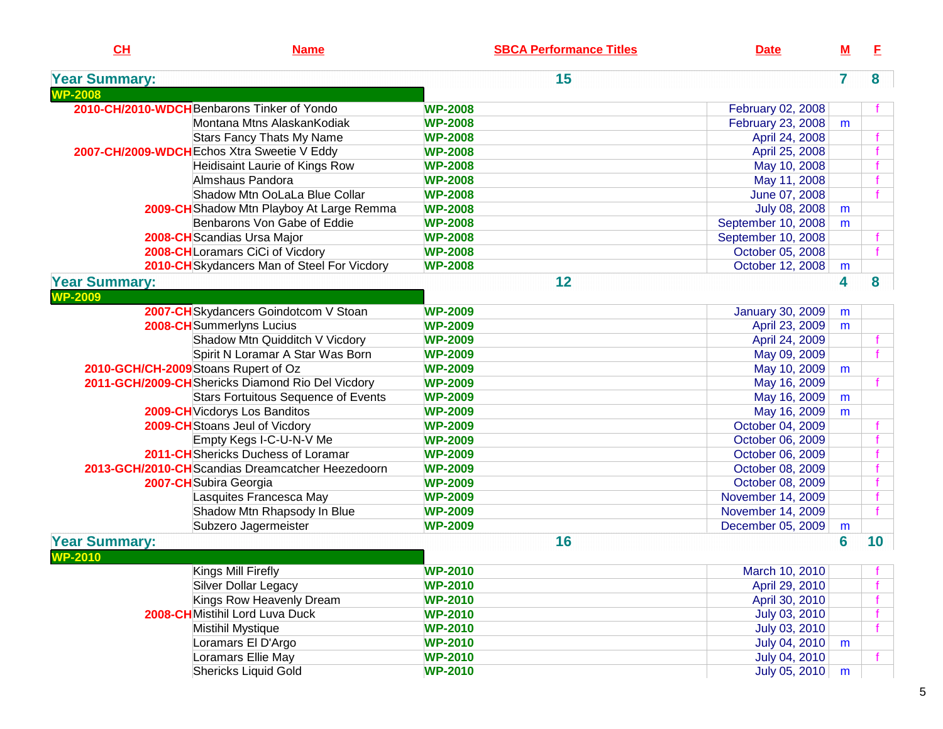| CL                                     | <b>Name</b>                                       | <b>SBCA Performance Titles</b> | <b>Date</b>             | <u>M</u>  | E  |
|----------------------------------------|---------------------------------------------------|--------------------------------|-------------------------|-----------|----|
| <b>Year Summary:</b>                   |                                                   | 15                             |                         | 7         | 8  |
| <b>WP-2008</b>                         |                                                   |                                |                         |           |    |
|                                        | 2010-CH/2010-WDCHBenbarons Tinker of Yondo        | <b>WP-2008</b>                 | February 02, 2008       |           |    |
|                                        | Montana Mtns AlaskanKodiak                        | <b>WP-2008</b>                 | February 23, 2008       | m         |    |
|                                        | Stars Fancy Thats My Name                         | <b>WP-2008</b>                 | April 24, 2008          |           |    |
|                                        | 2007-CH/2009-WDCH Echos Xtra Sweetie V Eddy       | <b>WP-2008</b>                 | April 25, 2008          |           |    |
|                                        | Heidisaint Laurie of Kings Row                    | <b>WP-2008</b>                 | May 10, 2008            |           |    |
|                                        | Almshaus Pandora                                  | <b>WP-2008</b>                 | May 11, 2008            |           |    |
|                                        | Shadow Mtn OoLaLa Blue Collar                     | <b>WP-2008</b>                 | June 07, 2008           |           |    |
|                                        | 2009-CH Shadow Mtn Playboy At Large Remma         | <b>WP-2008</b>                 | July 08, 2008           | m         |    |
|                                        | Benbarons Von Gabe of Eddie                       | <b>WP-2008</b>                 | September 10, 2008      | m         |    |
|                                        | 2008-CH Scandias Ursa Major                       | <b>WP-2008</b>                 | September 10, 2008      |           |    |
|                                        | 2008-CHLoramars CiCi of Vicdory                   | <b>WP-2008</b>                 | October 05, 2008        |           |    |
|                                        | 2010-CH Skydancers Man of Steel For Vicdory       | <b>WP-2008</b>                 | October 12, 2008        | ${\sf m}$ |    |
| <b>Year Summary:</b>                   |                                                   | 12                             |                         | 4         | 8  |
| <b>WP-2009</b>                         |                                                   |                                |                         |           |    |
|                                        | 2007-CH Skydancers Goindotcom V Stoan             | <b>WP-2009</b>                 | <b>January 30, 2009</b> | m         |    |
|                                        | 2008-CH Summerlyns Lucius                         | <b>WP-2009</b>                 | April 23, 2009          | m         |    |
|                                        | Shadow Mtn Quidditch V Vicdory                    | <b>WP-2009</b>                 | April 24, 2009          |           |    |
|                                        | Spirit N Loramar A Star Was Born                  | <b>WP-2009</b>                 | May 09, 2009            |           |    |
|                                        | 2010-GCH/CH-2009 Stoans Rupert of Oz              | <b>WP-2009</b>                 | May 10, 2009            | m         |    |
|                                        | 2011-GCH/2009-CH Shericks Diamond Rio Del Vicdory | <b>WP-2009</b>                 | May 16, 2009            |           |    |
|                                        | <b>Stars Fortuitous Sequence of Events</b>        | <b>WP-2009</b>                 | May 16, 2009            | m         |    |
|                                        | 2009-CH Vicdorys Los Banditos                     | <b>WP-2009</b>                 | May 16, 2009            | m         |    |
|                                        | 2009-CH Stoans Jeul of Vicdory                    | <b>WP-2009</b>                 | October 04, 2009        |           |    |
|                                        | Empty Kegs I-C-U-N-V Me                           | <b>WP-2009</b>                 | October 06, 2009        |           |    |
|                                        | 2011-CH Shericks Duchess of Loramar               | <b>WP-2009</b>                 | October 06, 2009        |           |    |
|                                        | 2013-GCH/2010-CHScandias Dreamcatcher Heezedoorn  | <b>WP-2009</b>                 | October 08, 2009        |           |    |
|                                        | 2007-CH Subira Georgia                            | <b>WP-2009</b>                 | October 08, 2009        |           |    |
|                                        | Lasquites Francesca May                           | <b>WP-2009</b>                 | November 14, 2009       |           |    |
|                                        | Shadow Mtn Rhapsody In Blue                       | <b>WP-2009</b>                 | November 14, 2009       |           |    |
|                                        | Subzero Jagermeister                              | <b>WP-2009</b>                 | December 05, 2009       | m         |    |
| <b>Year Summary:</b><br><b>WP-2010</b> |                                                   | 16                             |                         | 6         | 10 |
|                                        | Kings Mill Firefly                                | <b>WP-2010</b>                 | March 10, 2010          |           |    |
|                                        | Silver Dollar Legacy                              | <b>WP-2010</b>                 | April 29, 2010          |           |    |
|                                        | Kings Row Heavenly Dream                          | <b>WP-2010</b>                 | April 30, 2010          |           |    |
|                                        | 2008-CHMistihil Lord Luva Duck                    | <b>WP-2010</b>                 | July 03, 2010           |           |    |
|                                        | Mistihil Mystique                                 | <b>WP-2010</b>                 | July 03, 2010           |           |    |
|                                        | Loramars El D'Argo                                | <b>WP-2010</b>                 | July 04, 2010           | m         |    |
|                                        | Loramars Ellie May                                | <b>WP-2010</b>                 | July 04, 2010           |           |    |
|                                        | <b>Shericks Liquid Gold</b>                       | <b>WP-2010</b>                 | July 05, 2010           | m         |    |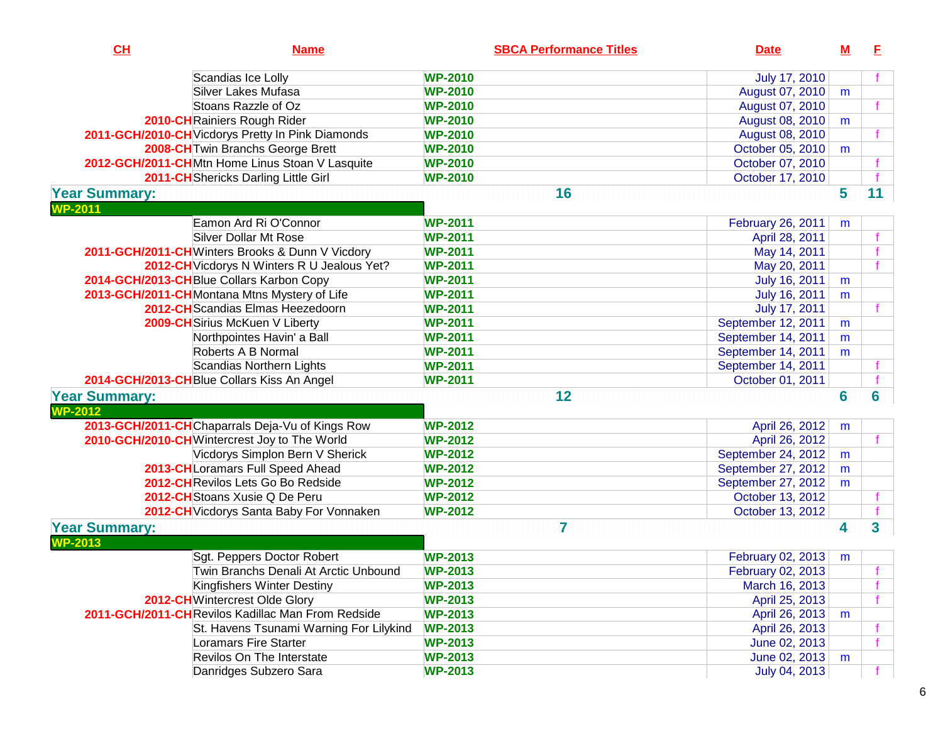| CL                   | <b>Name</b>                                       | <b>SBCA Performance Titles</b> | <b>Date</b>        | $\underline{\mathsf{M}}$ | E. |
|----------------------|---------------------------------------------------|--------------------------------|--------------------|--------------------------|----|
|                      | Scandias Ice Lolly                                | <b>WP-2010</b>                 | July 17, 2010      |                          |    |
|                      | Silver Lakes Mufasa                               | <b>WP-2010</b>                 | August 07, 2010    | m                        |    |
|                      | Stoans Razzle of Oz                               | <b>WP-2010</b>                 | August 07, 2010    |                          |    |
|                      | 2010-CH Rainiers Rough Rider                      | <b>WP-2010</b>                 | August 08, 2010    | m                        |    |
|                      | 2011-GCH/2010-CH Vicdorys Pretty In Pink Diamonds | <b>WP-2010</b>                 | August 08, 2010    |                          |    |
|                      | 2008-CH Twin Branchs George Brett                 | <b>WP-2010</b>                 | October 05, 2010   | m                        |    |
|                      | 2012-GCH/2011-CHMtn Home Linus Stoan V Lasquite   | <b>WP-2010</b>                 | October 07, 2010   |                          |    |
|                      | 2011-CH Shericks Darling Little Girl              | <b>WP-2010</b>                 | October 17, 2010   |                          |    |
| <b>Year Summary:</b> |                                                   | 16                             |                    | 5                        | 11 |
| <b>WP-2011</b>       |                                                   |                                |                    |                          |    |
|                      | Eamon Ard Ri O'Connor                             | <b>WP-2011</b>                 | February 26, 2011  | m                        |    |
|                      | Silver Dollar Mt Rose                             | <b>WP-2011</b>                 | April 28, 2011     |                          |    |
|                      | 2011-GCH/2011-CHWinters Brooks & Dunn V Vicdory   | <b>WP-2011</b>                 | May 14, 2011       |                          |    |
|                      | 2012-CH Vicdorys N Winters R U Jealous Yet?       | <b>WP-2011</b>                 | May 20, 2011       |                          |    |
|                      | 2014-GCH/2013-CHBlue Collars Karbon Copy          | <b>WP-2011</b>                 | July 16, 2011      | m                        |    |
|                      | 2013-GCH/2011-CHMontana Mtns Mystery of Life      | <b>WP-2011</b>                 | July 16, 2011      | m                        |    |
|                      | 2012-CH Scandias Elmas Heezedoorn                 | <b>WP-2011</b>                 | July 17, 2011      |                          |    |
|                      | 2009-CH Sirius McKuen V Liberty                   | <b>WP-2011</b>                 | September 12, 2011 | m                        |    |
|                      | Northpointes Havin' a Ball                        | <b>WP-2011</b>                 | September 14, 2011 | m                        |    |
|                      | Roberts A B Normal                                | <b>WP-2011</b>                 | September 14, 2011 | m                        |    |
|                      | <b>Scandias Northern Lights</b>                   | <b>WP-2011</b>                 | September 14, 2011 |                          |    |
|                      | 2014-GCH/2013-CHBlue Collars Kiss An Angel        | <b>WP-2011</b>                 | October 01, 2011   |                          |    |
| <b>Year Summary:</b> |                                                   | 12                             |                    | 6                        | 6  |
| $WP-2012$            |                                                   |                                |                    |                          |    |
|                      | 2013-GCH/2011-CHChaparrals Deja-Vu of Kings Row   | <b>WP-2012</b>                 | April 26, 2012     | m                        |    |
|                      | 2010-GCH/2010-CHWintercrest Joy to The World      | <b>WP-2012</b>                 | April 26, 2012     |                          |    |
|                      | Vicdorys Simplon Bern V Sherick                   | <b>WP-2012</b>                 | September 24, 2012 | m                        |    |
|                      | 2013-CHLoramars Full Speed Ahead                  | <b>WP-2012</b>                 | September 27, 2012 | m                        |    |
|                      | 2012-CHRevilos Lets Go Bo Redside                 | <b>WP-2012</b>                 | September 27, 2012 | m                        |    |
|                      | 2012-CH Stoans Xusie Q De Peru                    | <b>WP-2012</b>                 | October 13, 2012   |                          |    |
|                      | 2012-CH Vicdorys Santa Baby For Vonnaken          | <b>WP-2012</b>                 | October 13, 2012   |                          |    |
| <b>Year Summary:</b> |                                                   | 7                              |                    | $\overline{\mathbf{4}}$  | 3  |
| <b>WP-2013</b>       |                                                   |                                |                    |                          |    |
|                      | Sgt. Peppers Doctor Robert                        | <b>WP-2013</b>                 | February 02, 2013  | m                        |    |
|                      | Twin Branchs Denali At Arctic Unbound             | <b>WP-2013</b>                 | February 02, 2013  |                          |    |
|                      | Kingfishers Winter Destiny                        | <b>WP-2013</b>                 | March 16, 2013     |                          |    |
|                      | 2012-CHWintercrest Olde Glory                     | <b>WP-2013</b>                 | April 25, 2013     |                          |    |
|                      | 2011-GCH/2011-CHRevilos Kadillac Man From Redside | <b>WP-2013</b>                 | April 26, 2013     | m                        |    |
|                      | St. Havens Tsunami Warning For Lilykind           | <b>WP-2013</b>                 | April 26, 2013     |                          |    |
|                      | <b>Loramars Fire Starter</b>                      | <b>WP-2013</b>                 | June 02, 2013      |                          |    |
|                      | <b>Revilos On The Interstate</b>                  | <b>WP-2013</b>                 | June 02, 2013      | m                        |    |
|                      | Danridges Subzero Sara                            | <b>WP-2013</b>                 | July 04, 2013      |                          |    |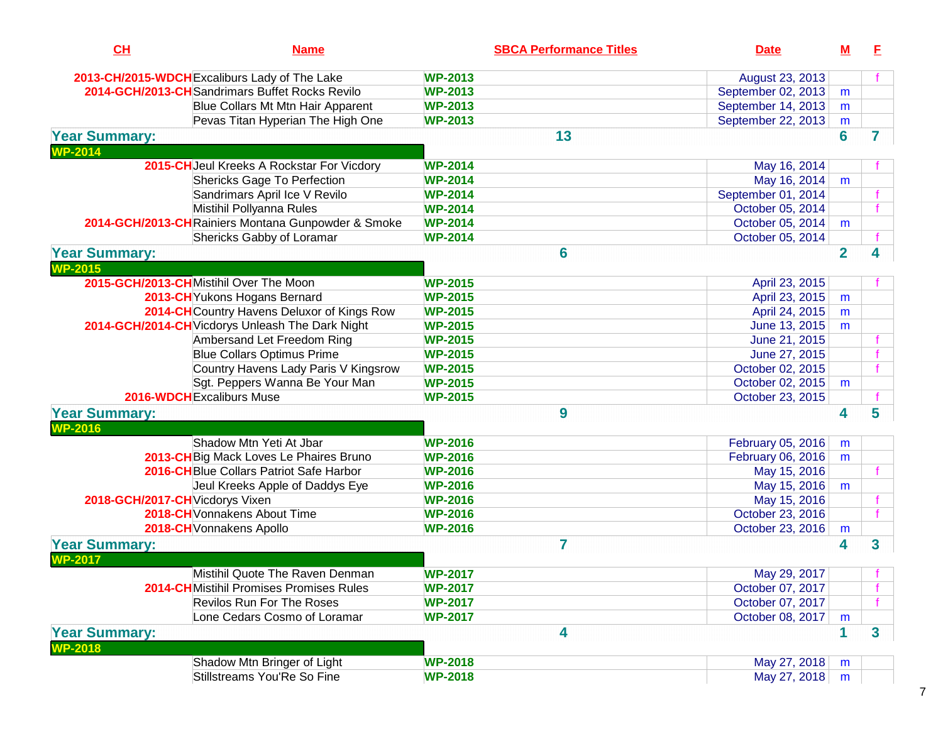| CH                              | <b>Name</b>                                        | <b>SBCA Performance Titles</b>   | <b>Date</b>        | <u>M</u>       | E. |
|---------------------------------|----------------------------------------------------|----------------------------------|--------------------|----------------|----|
|                                 | 2013-CH/2015-WDCH Excaliburs Lady of The Lake      | <b>WP-2013</b>                   | August 23, 2013    |                |    |
|                                 | 2014-GCH/2013-CH Sandrimars Buffet Rocks Revilo    | <b>WP-2013</b>                   | September 02, 2013 | m              |    |
|                                 | Blue Collars Mt Mtn Hair Apparent                  | <b>WP-2013</b>                   | September 14, 2013 | m              |    |
|                                 | Pevas Titan Hyperian The High One                  | <b>WP-2013</b>                   | September 22, 2013 | m              |    |
| <b>Year Summary:</b>            |                                                    | 13                               |                    | 6              | 7  |
| <b>WP-2014</b>                  |                                                    |                                  |                    |                |    |
|                                 | 2015-CH Jeul Kreeks A Rockstar For Vicdory         | <b>WP-2014</b>                   | May 16, 2014       |                |    |
|                                 | <b>Shericks Gage To Perfection</b>                 | <b>WP-2014</b>                   | May 16, 2014       | m              |    |
|                                 | Sandrimars April Ice V Revilo                      | <b>WP-2014</b>                   | September 01, 2014 |                |    |
|                                 | Mistihil Pollyanna Rules                           | <b>WP-2014</b>                   | October 05, 2014   |                |    |
|                                 | 2014-GCH/2013-CHRainiers Montana Gunpowder & Smoke | <b>WP-2014</b>                   | October 05, 2014   | m              |    |
|                                 | Shericks Gabby of Loramar                          | <b>WP-2014</b>                   | October 05, 2014   |                |    |
| <b>Year Summary:</b>            |                                                    | 6                                |                    | $\overline{2}$ | 4  |
| $WP-2015$                       |                                                    |                                  |                    |                |    |
|                                 | 2015-GCH/2013-CHMistihil Over The Moon             | <b>WP-2015</b>                   | April 23, 2015     |                |    |
|                                 | 2013-CH Yukons Hogans Bernard                      | <b>WP-2015</b>                   | April 23, 2015     | m              |    |
|                                 | 2014-CH Country Havens Deluxor of Kings Row        | <b>WP-2015</b>                   | April 24, 2015     | m              |    |
|                                 | 2014-GCH/2014-CH Vicdorys Unleash The Dark Night   | <b>WP-2015</b>                   | June 13, 2015      | m              |    |
|                                 | Ambersand Let Freedom Ring                         | <b>WP-2015</b>                   | June 21, 2015      |                |    |
|                                 | <b>Blue Collars Optimus Prime</b>                  | <b>WP-2015</b>                   | June 27, 2015      |                |    |
|                                 | Country Havens Lady Paris V Kingsrow               | <b>WP-2015</b>                   | October 02, 2015   |                |    |
|                                 | Sgt. Peppers Wanna Be Your Man                     | <b>WP-2015</b>                   | October 02, 2015   | m              |    |
|                                 | 2016-WDCH Excaliburs Muse                          | <b>WP-2015</b>                   | October 23, 2015   |                |    |
| <b>Year Summary:</b>            |                                                    | 9                                |                    | 4              | 5  |
| <b>WP-2016</b>                  |                                                    |                                  |                    |                |    |
|                                 | Shadow Mtn Yeti At Jbar                            | <b>WP-2016</b>                   | February 05, 2016  | m              |    |
|                                 | 2013-CH Big Mack Loves Le Phaires Bruno            | <b>WP-2016</b>                   | February 06, 2016  | m              |    |
|                                 | 2016-CHBlue Collars Patriot Safe Harbor            | <b>WP-2016</b>                   | May 15, 2016       |                |    |
|                                 | Jeul Kreeks Apple of Daddys Eye                    | <b>WP-2016</b>                   | May 15, 2016       | m              |    |
| 2018-GCH/2017-CH Vicdorys Vixen |                                                    | <b>WP-2016</b>                   | May 15, 2016       |                |    |
|                                 | 2018-CH Vonnakens About Time                       | <b>WP-2016</b>                   | October 23, 2016   |                |    |
|                                 | 2018-CH Vonnakens Apollo                           | <b>WP-2016</b>                   | October 23, 2016   | m              |    |
| <b>Year Summary:</b>            |                                                    | $\overline{7}$                   |                    | 4              | 3  |
| <b>WP-2017</b>                  |                                                    |                                  |                    |                |    |
|                                 | Mistihil Quote The Raven Denman                    |                                  | May 29, 2017       |                |    |
|                                 | <b>2014-CH</b> Mistihil Promises Promises Rules    | <b>WP-2017</b><br><b>WP-2017</b> | October 07, 2017   |                |    |
|                                 | <b>Revilos Run For The Roses</b>                   | <b>WP-2017</b>                   | October 07, 2017   |                |    |
|                                 | Lone Cedars Cosmo of Loramar                       | <b>WP-2017</b>                   | October 08, 2017   | m              |    |
|                                 |                                                    |                                  |                    |                |    |
| <b>Year Summary:</b>            |                                                    | 4                                |                    | 1              | 3  |
| <b>WP-2018</b>                  |                                                    |                                  |                    |                |    |
|                                 | Shadow Mtn Bringer of Light                        | <b>WP-2018</b>                   | May 27, 2018       | m              |    |
|                                 | Stillstreams You'Re So Fine                        | <b>WP-2018</b>                   | May 27, 2018       | m              |    |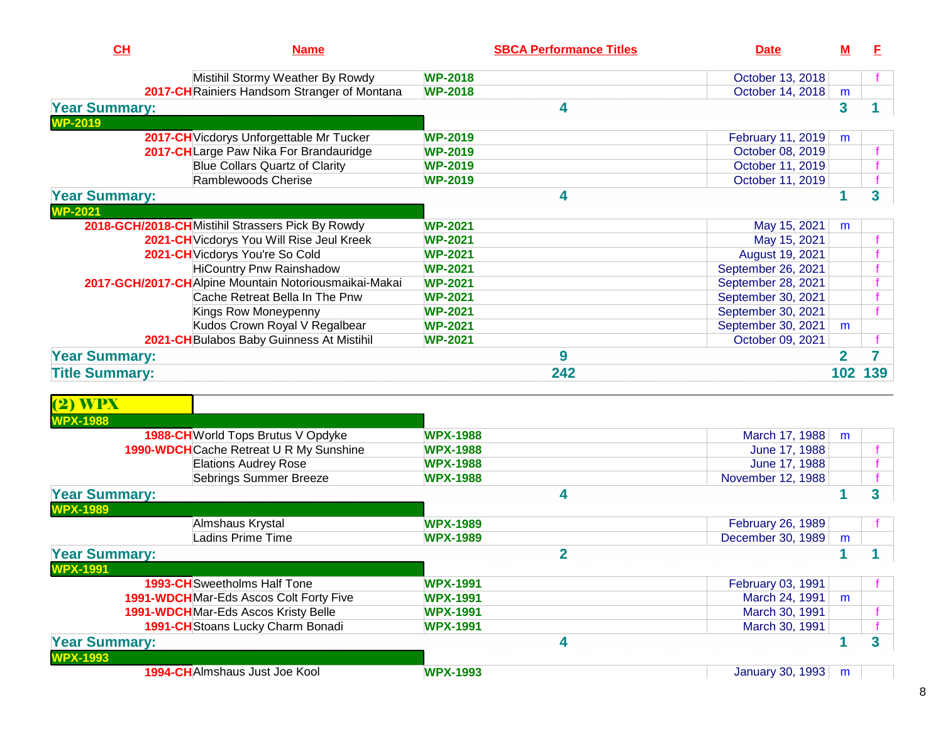| CL                    | <b>Name</b>                                           | <b>SBCA Performance Titles</b> | <b>Date</b>        | <u>M</u>                | E   |
|-----------------------|-------------------------------------------------------|--------------------------------|--------------------|-------------------------|-----|
|                       | Mistihil Stormy Weather By Rowdy                      | <b>WP-2018</b>                 | October 13, 2018   |                         |     |
|                       | 2017-CH Rainiers Handsom Stranger of Montana          | <b>WP-2018</b>                 | October 14, 2018   | m                       |     |
| <b>Year Summary:</b>  |                                                       | 4                              |                    | 3                       |     |
| <b>WP-2019</b>        |                                                       |                                |                    |                         |     |
|                       | 2017-CH Vicdorys Unforgettable Mr Tucker              | <b>WP-2019</b>                 | February 11, 2019  | m                       |     |
|                       | 2017-CHLarge Paw Nika For Brandauridge                | <b>WP-2019</b>                 | October 08, 2019   |                         |     |
|                       | <b>Blue Collars Quartz of Clarity</b>                 | <b>WP-2019</b>                 | October 11, 2019   |                         |     |
|                       | Ramblewoods Cherise                                   | <b>WP-2019</b>                 | October 11, 2019   |                         |     |
| <b>Year Summary:</b>  |                                                       | 4                              |                    |                         | 3   |
| <b>WP-2021</b>        |                                                       |                                |                    |                         |     |
|                       | 2018-GCH/2018-CHMistihil Strassers Pick By Rowdy      | <b>WP-2021</b>                 | May 15, 2021       | m                       |     |
|                       | 2021-CH Vicdorys You Will Rise Jeul Kreek             | <b>WP-2021</b>                 | May 15, 2021       |                         |     |
|                       | 2021-CH Vicdorys You're So Cold                       | <b>WP-2021</b>                 | August 19, 2021    |                         |     |
|                       | <b>HiCountry Pnw Rainshadow</b>                       | <b>WP-2021</b>                 | September 26, 2021 |                         |     |
|                       | 2017-GCH/2017-CHAlpine Mountain Notoriousmaikai-Makai | <b>WP-2021</b>                 | September 28, 2021 |                         |     |
|                       | Cache Retreat Bella In The Pnw                        | <b>WP-2021</b>                 | September 30, 2021 |                         |     |
|                       | Kings Row Moneypenny                                  | <b>WP-2021</b>                 | September 30, 2021 |                         |     |
|                       | Kudos Crown Royal V Regalbear                         | <b>WP-2021</b>                 | September 30, 2021 | m                       |     |
|                       | 2021-CH Bulabos Baby Guinness At Mistihil             | <b>WP-2021</b>                 | October 09, 2021   |                         |     |
| <b>Year Summary:</b>  |                                                       | 9                              |                    | $\overline{\mathbf{2}}$ |     |
| <b>Title Summary:</b> |                                                       | 242                            |                    | 102                     | 139 |
| <b>(2) WPX</b>        |                                                       |                                |                    |                         |     |

| <b>WPX-1988</b>      |                                         |                         |                   |   |                |
|----------------------|-----------------------------------------|-------------------------|-------------------|---|----------------|
|                      | 1988-CH World Tops Brutus V Opdyke      | <b>WPX-1988</b>         | March 17, 1988    | m |                |
|                      | 1990-WDCH Cache Retreat U R My Sunshine | <b>WPX-1988</b>         | June 17, 1988     |   |                |
|                      | <b>Elations Audrey Rose</b>             | <b>WPX-1988</b>         | June 17, 1988     |   |                |
|                      | Sebrings Summer Breeze                  | <b>WPX-1988</b>         | November 12, 1988 |   |                |
| <b>Year Summary:</b> |                                         | 4                       |                   |   | 3 <sup>1</sup> |
| <b>WPX-1989</b>      |                                         |                         |                   |   |                |
|                      | Almshaus Krystal                        | <b>WPX-1989</b>         | February 26, 1989 |   |                |
|                      | <b>Ladins Prime Time</b>                | <b>WPX-1989</b>         | December 30, 1989 | m |                |
| <b>Year Summary:</b> |                                         | $\overline{\mathbf{2}}$ |                   |   |                |
| <b>WPX-1991</b>      |                                         |                         |                   |   |                |
|                      | <b>1993-CH</b> Sweetholms Half Tone     | <b>WPX-1991</b>         | February 03, 1991 |   |                |
|                      | 1991-WDCH Mar-Eds Ascos Colt Forty Five | <b>WPX-1991</b>         | March 24, 1991    | m |                |
|                      | 1991-WDCH Mar-Eds Ascos Kristy Belle    | <b>WPX-1991</b>         | March 30, 1991    |   |                |
|                      | 1991-CH Stoans Lucky Charm Bonadi       | <b>WPX-1991</b>         | March 30, 1991    |   |                |
| <b>Year Summary:</b> |                                         | 4                       |                   |   | 3              |
| <b>WPX-1993</b>      |                                         |                         |                   |   |                |
|                      | 1994-CHAImshaus Just Joe Kool           | <b>WPX-1993</b>         | January 30, 1993  | m |                |
|                      |                                         |                         |                   |   |                |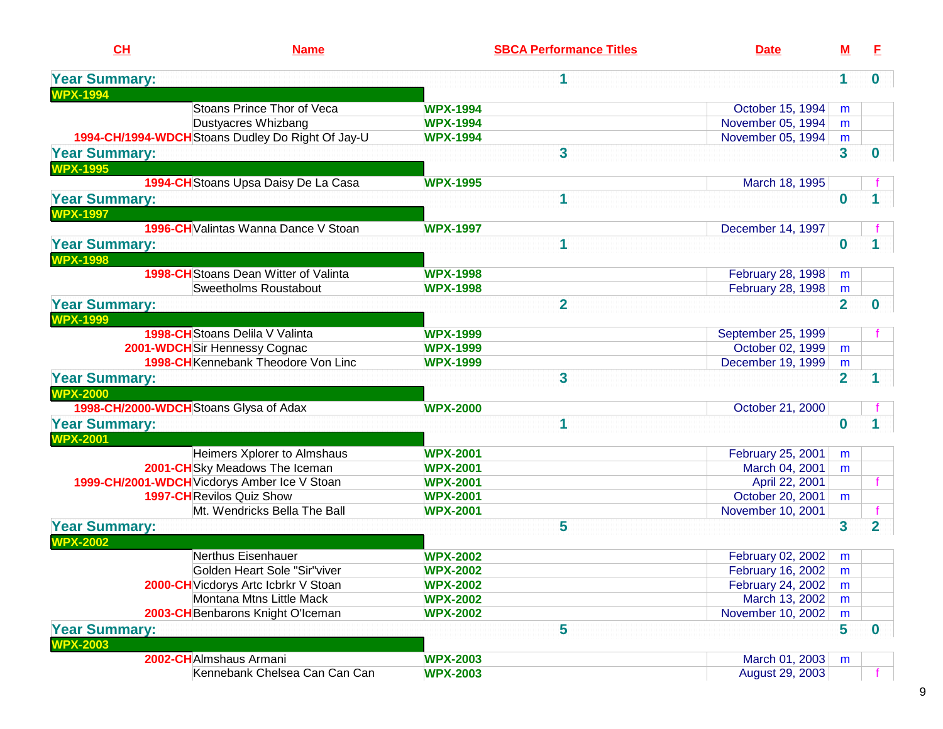| CL<br><b>Name</b>                                 | <b>SBCA Performance Titles</b> | <b>Date</b>        | <u>M</u>       | E.             |
|---------------------------------------------------|--------------------------------|--------------------|----------------|----------------|
| <b>Year Summary:</b>                              | 1                              |                    | 1.             | 0              |
| <b>WPX-1994</b>                                   |                                |                    |                |                |
| <b>Stoans Prince Thor of Veca</b>                 | <b>WPX-1994</b>                | October 15, 1994   | m              |                |
| Dustyacres Whizbang                               | <b>WPX-1994</b>                | November 05, 1994  | m              |                |
| 1994-CH/1994-WDCH Stoans Dudley Do Right Of Jay-U | <b>WPX-1994</b>                | November 05, 1994  | m              |                |
| <b>Year Summary:</b><br><b>WPX-1995</b>           | 3                              |                    | 3              | n              |
| 1994-CH Stoans Upsa Daisy De La Casa              | <b>WPX-1995</b>                | March 18, 1995     |                |                |
| <b>Year Summary:</b>                              | 1                              |                    | $\bf{0}$       |                |
| <b>WPX-1997</b>                                   |                                |                    |                |                |
| 1996-CH Valintas Wanna Dance V Stoan              | <b>WPX-1997</b>                | December 14, 1997  |                |                |
| <b>Year Summary:</b>                              | 1                              |                    | $\bf{0}$       |                |
| <b>WPX-1998</b>                                   |                                |                    |                |                |
| <b>1998-CH</b> Stoans Dean Witter of Valinta      | <b>WPX-1998</b>                | February 28, 1998  | m              |                |
| Sweetholms Roustabout                             | <b>WPX-1998</b>                | February 28, 1998  | m              |                |
| <b>Year Summary:</b>                              | $\overline{2}$                 |                    | $\overline{2}$ | 0              |
| <b>WPX-1999</b>                                   |                                |                    |                |                |
| <b>1998-CH</b> Stoans Delila V Valinta            | <b>WPX-1999</b>                | September 25, 1999 |                |                |
| 2001-WDCH Sir Hennessy Cognac                     | <b>WPX-1999</b>                | October 02, 1999   | m              |                |
| 1998-CH Kennebank Theodore Von Linc               | <b>WPX-1999</b>                | December 19, 1999  | m              |                |
| <b>Year Summary:</b>                              | 3                              |                    | $\overline{2}$ |                |
| <b>WPX-2000</b>                                   |                                |                    |                |                |
| 1998-CH/2000-WDCH Stoans Glysa of Adax            | <b>WPX-2000</b>                | October 21, 2000   |                |                |
| <b>Year Summary:</b>                              | 1                              |                    | $\bf{0}$       |                |
| <b>WPX-2001</b>                                   |                                |                    |                |                |
| Heimers Xplorer to Almshaus                       | <b>WPX-2001</b>                | February 25, 2001  | m              |                |
| 2001-CHSky Meadows The Iceman                     | <b>WPX-2001</b>                | March 04, 2001     | m              |                |
| 1999-CH/2001-WDCH Vicdorys Amber Ice V Stoan      | <b>WPX-2001</b>                | April 22, 2001     |                |                |
| <b>1997-CH</b> Revilos Quiz Show                  | <b>WPX-2001</b>                | October 20, 2001   | m              |                |
| Mt. Wendricks Bella The Ball                      | <b>WPX-2001</b>                | November 10, 2001  |                |                |
| <b>Year Summary:</b>                              | 5                              |                    | 3              | $\overline{2}$ |
| <b>WPX-2002</b>                                   |                                |                    |                |                |
| Nerthus Eisenhauer                                | <b>WPX-2002</b>                | February 02, 2002  | m              |                |
| Golden Heart Sole "Sir"viver                      | <b>WPX-2002</b>                | February 16, 2002  | m              |                |
| 2000-CH Vicdorys Artc Icbrkr V Stoan              | <b>WPX-2002</b>                | February 24, 2002  | m              |                |
| Montana Mtns Little Mack                          | <b>WPX-2002</b>                | March 13, 2002     | m              |                |
| 2003-CH Benbarons Knight O'Iceman                 | <b>WPX-2002</b>                | November 10, 2002  | m              |                |
| <b>Year Summary:</b>                              | 5                              |                    | 5              | 0              |
| <b>NPX-2003</b>                                   |                                |                    |                |                |
| 2002-CHAImshaus Armani                            | <b>WPX-2003</b>                | March 01, 2003     | m              |                |
| Kennebank Chelsea Can Can Can                     | <b>WPX-2003</b>                | August 29, 2003    |                |                |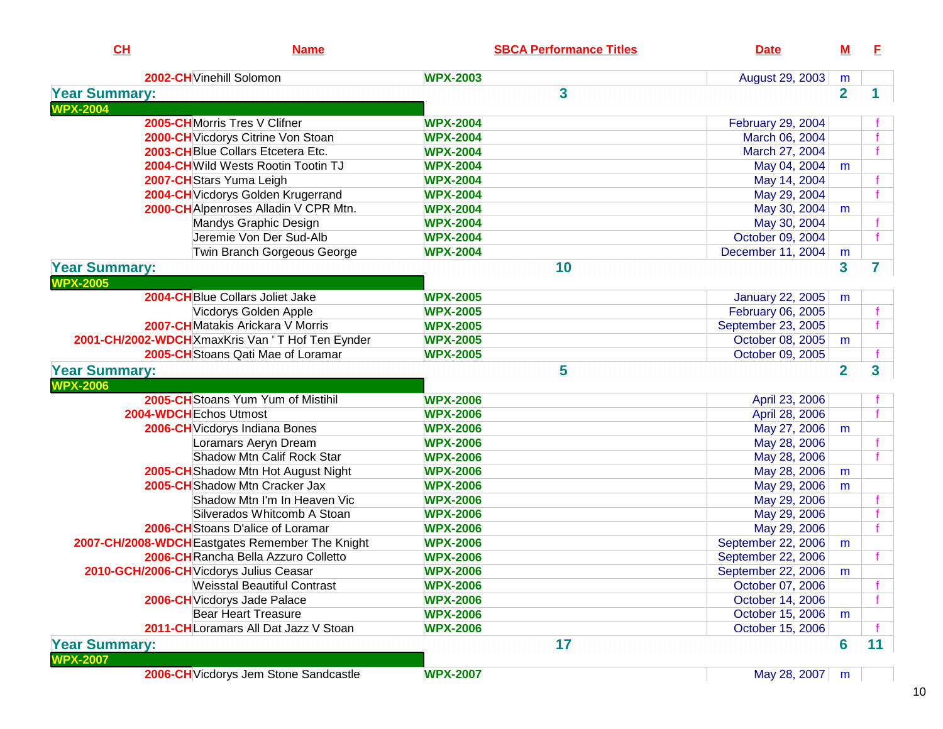| CH                   | <b>Name</b>                                       | <b>SBCA Performance Titles</b> | <b>Date</b>             | ${\bf M}$      | E            |
|----------------------|---------------------------------------------------|--------------------------------|-------------------------|----------------|--------------|
|                      | 2002-CH Vinehill Solomon                          | <b>WPX-2003</b>                | August 29, 2003         | m              |              |
| <b>Year Summary:</b> |                                                   | 3                              |                         | $\overline{2}$ |              |
| <b>WPX-2004</b>      |                                                   |                                |                         |                |              |
|                      | 2005-CHMorris Tres V Clifner                      | <b>WPX-2004</b>                | February 29, 2004       |                |              |
|                      | 2000-CH Vicdorys Citrine Von Stoan                | <b>WPX-2004</b>                | March 06, 2004          |                |              |
|                      | 2003-CHBlue Collars Etcetera Etc.                 | <b>WPX-2004</b>                | March 27, 2004          |                |              |
|                      | 2004-CH Wild Wests Rootin Tootin TJ               | <b>WPX-2004</b>                | May 04, 2004            | m              |              |
|                      | 2007-CHStars Yuma Leigh                           | <b>WPX-2004</b>                | May 14, 2004            |                |              |
|                      | 2004-CH Vicdorys Golden Krugerrand                | <b>WPX-2004</b>                | May 29, 2004            |                |              |
|                      | 2000-CH Alpenroses Alladin V CPR Mtn.             | <b>WPX-2004</b>                | May 30, 2004            | m              |              |
|                      | Mandys Graphic Design                             | <b>WPX-2004</b>                | May 30, 2004            |                |              |
|                      | Jeremie Von Der Sud-Alb                           | <b>WPX-2004</b>                | October 09, 2004        |                | $\mathbf{f}$ |
|                      | Twin Branch Gorgeous George                       | <b>WPX-2004</b>                | December 11, 2004       | m              |              |
| <b>Year Summary:</b> |                                                   | 10                             |                         | 3              | 7            |
| <b>WPX-2005</b>      |                                                   |                                |                         |                |              |
|                      | 2004-CHBlue Collars Joliet Jake                   | <b>WPX-2005</b>                | <b>January 22, 2005</b> | m              |              |
|                      | Vicdorys Golden Apple                             | <b>WPX-2005</b>                | February 06, 2005       |                |              |
|                      | 2007-CHMatakis Arickara V Morris                  | <b>WPX-2005</b>                | September 23, 2005      |                |              |
|                      | 2001-CH/2002-WDCH XmaxKris Van ' T Hof Ten Eynder | <b>WPX-2005</b>                | October 08, 2005        | m              |              |
|                      | 2005-CH Stoans Qati Mae of Loramar                | <b>WPX-2005</b>                | October 09, 2005        |                |              |
| <b>Year Summary:</b> |                                                   | 5                              |                         | $\overline{2}$ | 3            |
| <b>WPX-2006</b>      |                                                   |                                |                         |                |              |
|                      | 2005-CHStoans Yum Yum of Mistihil                 | <b>WPX-2006</b>                | April 23, 2006          |                |              |
|                      | 2004-WDCH Echos Utmost                            | <b>WPX-2006</b>                | April 28, 2006          |                |              |
|                      | 2006-CH Vicdorys Indiana Bones                    | <b>WPX-2006</b>                | May 27, 2006            | m              |              |
|                      | Loramars Aeryn Dream                              | <b>WPX-2006</b>                | May 28, 2006            |                |              |
|                      | Shadow Mtn Calif Rock Star                        | <b>WPX-2006</b>                | May 28, 2006            |                |              |
|                      | 2005-CH Shadow Mtn Hot August Night               | <b>WPX-2006</b>                | May 28, 2006            | m              |              |
|                      | 2005-CH Shadow Mtn Cracker Jax                    | <b>WPX-2006</b>                | May 29, 2006            | m              |              |
|                      | Shadow Mtn I'm In Heaven Vic                      | <b>WPX-2006</b>                | May 29, 2006            |                |              |
|                      | Silverados Whitcomb A Stoan                       | <b>WPX-2006</b>                | May 29, 2006            |                |              |
|                      | 2006-CHStoans D'alice of Loramar                  | <b>WPX-2006</b>                | May 29, 2006            |                |              |
|                      | 2007-CH/2008-WDCH Eastgates Remember The Knight   | <b>WPX-2006</b>                | September 22, 2006      | m              |              |
|                      | 2006-CH Rancha Bella Azzuro Colletto              | <b>WPX-2006</b>                | September 22, 2006      |                |              |
|                      | 2010-GCH/2006-CH Vicdorys Julius Ceasar           | <b>WPX-2006</b>                | September 22, 2006      | m              |              |
|                      | <b>Weisstal Beautiful Contrast</b>                | <b>WPX-2006</b>                | October 07, 2006        |                |              |
|                      | 2006-CH Vicdorys Jade Palace                      | <b>WPX-2006</b>                | October 14, 2006        |                |              |
|                      | <b>Bear Heart Treasure</b>                        | <b>WPX-2006</b>                | October 15, 2006        | m              |              |
|                      | 2011-CHLoramars All Dat Jazz V Stoan              | <b>WPX-2006</b>                | October 15, 2006        |                |              |
| <b>Year Summary:</b> |                                                   | 17                             |                         | 6              | 11           |
| <b>WPX-2007</b>      |                                                   |                                |                         |                |              |
|                      | 2006-CH Vicdorys Jem Stone Sandcastle             | <b>WPX-2007</b>                | May 28, 2007            | m              |              |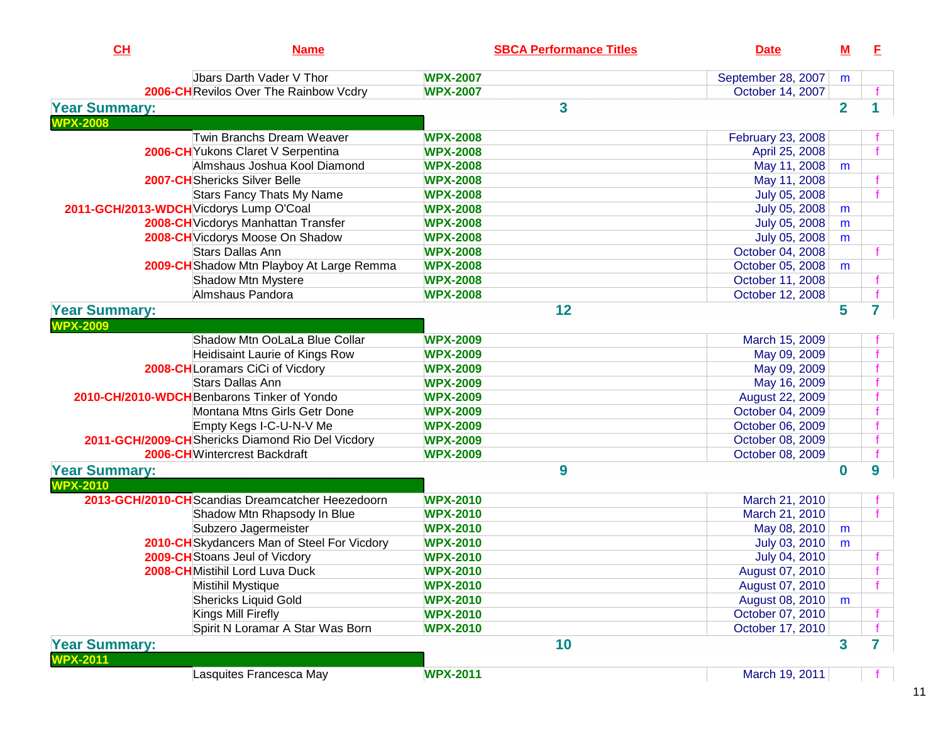| CH                                      | <b>Name</b>                                       | <b>SBCA Performance Titles</b> | <b>Date</b>            | $\underline{\mathsf{M}}$ | E |
|-----------------------------------------|---------------------------------------------------|--------------------------------|------------------------|--------------------------|---|
|                                         | Jbars Darth Vader V Thor                          | <b>WPX-2007</b>                | September 28, 2007     | m                        |   |
|                                         | 2006-CH Revilos Over The Rainbow Vcdry            | <b>WPX-2007</b>                | October 14, 2007       |                          |   |
| <b>Year Summary:</b>                    |                                                   | 3                              |                        | $\overline{2}$           |   |
| <b>WPX-2008</b>                         |                                                   |                                |                        |                          |   |
|                                         | Twin Branchs Dream Weaver                         | <b>WPX-2008</b>                | February 23, 2008      |                          |   |
|                                         | 2006-CH Yukons Claret V Serpentina                | <b>WPX-2008</b>                | April 25, 2008         |                          |   |
|                                         | Almshaus Joshua Kool Diamond                      | <b>WPX-2008</b>                | May 11, 2008           | m                        |   |
|                                         | <b>2007-CH</b> Shericks Silver Belle              | <b>WPX-2008</b>                | May 11, 2008           |                          |   |
|                                         | <b>Stars Fancy Thats My Name</b>                  | <b>WPX-2008</b>                | July 05, 2008          |                          |   |
| 2011-GCH/2013-WDCH Vicdorys Lump O'Coal |                                                   | <b>WPX-2008</b>                | July 05, 2008          | m                        |   |
|                                         | 2008-CH Vicdorys Manhattan Transfer               | <b>WPX-2008</b>                | July 05, 2008          | m                        |   |
|                                         | 2008-CH Vicdorys Moose On Shadow                  | <b>WPX-2008</b>                | July 05, 2008          | m                        |   |
|                                         | <b>Stars Dallas Ann</b>                           | <b>WPX-2008</b>                | October 04, 2008       |                          |   |
|                                         | 2009-CH Shadow Mtn Playboy At Large Remma         | <b>WPX-2008</b>                | October 05, 2008       | m                        |   |
|                                         | Shadow Mtn Mystere                                | <b>WPX-2008</b>                | October 11, 2008       |                          |   |
|                                         | Almshaus Pandora                                  | <b>WPX-2008</b>                | October 12, 2008       |                          |   |
| <b>Year Summary:</b>                    |                                                   | 12                             |                        | 5                        | 7 |
| <b>NPX-2009</b>                         |                                                   |                                |                        |                          |   |
|                                         | Shadow Mtn OoLaLa Blue Collar                     | <b>WPX-2009</b>                | March 15, 2009         |                          |   |
|                                         | Heidisaint Laurie of Kings Row                    | <b>WPX-2009</b>                | May 09, 2009           |                          |   |
|                                         | 2008-CHLoramars CiCi of Vicdory                   | <b>WPX-2009</b>                | May 09, 2009           |                          |   |
|                                         | <b>Stars Dallas Ann</b>                           | <b>WPX-2009</b>                | May 16, 2009           |                          |   |
|                                         | 2010-CH/2010-WDCH Benbarons Tinker of Yondo       | <b>WPX-2009</b>                | <b>August 22, 2009</b> |                          |   |
|                                         | Montana Mtns Girls Getr Done                      | <b>WPX-2009</b>                | October 04, 2009       |                          |   |
|                                         | Empty Kegs I-C-U-N-V Me                           | <b>WPX-2009</b>                | October 06, 2009       |                          |   |
|                                         | 2011-GCH/2009-CHShericks Diamond Rio Del Vicdory  | <b>WPX-2009</b>                | October 08, 2009       |                          |   |
|                                         | 2006-CHWintercrest Backdraft                      | <b>WPX-2009</b>                | October 08, 2009       |                          |   |
| <b>Year Summary:</b>                    |                                                   | 9                              |                        | $\bf{0}$                 | 9 |
| <b>WPX-2010</b>                         |                                                   |                                |                        |                          |   |
|                                         | 2013-GCH/2010-CH Scandias Dreamcatcher Heezedoorn | <b>WPX-2010</b>                | March 21, 2010         |                          |   |
|                                         | Shadow Mtn Rhapsody In Blue                       | <b>WPX-2010</b>                | March 21, 2010         |                          |   |
|                                         | Subzero Jagermeister                              | <b>WPX-2010</b>                | May 08, 2010           | m                        |   |
|                                         | 2010-CH Skydancers Man of Steel For Vicdory       | <b>WPX-2010</b>                | July 03, 2010          | m                        |   |
|                                         | 2009-CH Stoans Jeul of Vicdory                    | <b>WPX-2010</b>                | July 04, 2010          |                          |   |
|                                         | 2008-CHMistihil Lord Luva Duck                    | <b>WPX-2010</b>                | August 07, 2010        |                          |   |
|                                         | Mistihil Mystique                                 | <b>WPX-2010</b>                | August 07, 2010        |                          |   |
|                                         | <b>Shericks Liquid Gold</b>                       | <b>WPX-2010</b>                | August 08, 2010        | m                        |   |
|                                         | Kings Mill Firefly                                | <b>WPX-2010</b>                | October 07, 2010       |                          |   |
|                                         | Spirit N Loramar A Star Was Born                  | <b>WPX-2010</b>                | October 17, 2010       |                          |   |
| <b>Year Summary:</b>                    |                                                   | 10                             |                        | 3                        | 7 |
| <b>WPX-2011</b>                         |                                                   |                                |                        |                          |   |
|                                         | Lasquites Francesca May                           | <b>WPX-2011</b>                | March 19, 2011         |                          |   |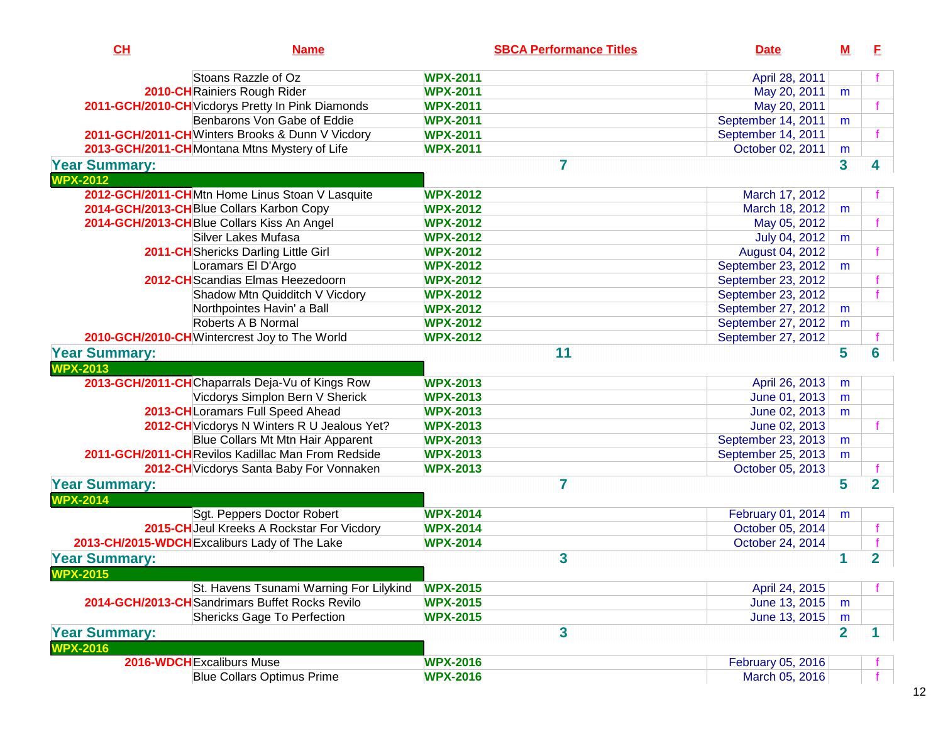| CL                                      | <b>Name</b>                                       | <b>SBCA Performance Titles</b> | <b>Date</b>        | <u>M</u>                | E              |
|-----------------------------------------|---------------------------------------------------|--------------------------------|--------------------|-------------------------|----------------|
|                                         | Stoans Razzle of Oz                               | <b>WPX-2011</b>                | April 28, 2011     |                         |                |
|                                         | 2010-CH Rainiers Rough Rider                      | <b>WPX-2011</b>                | May 20, 2011       | m                       |                |
|                                         | 2011-GCH/2010-CH Vicdorys Pretty In Pink Diamonds | <b>WPX-2011</b>                | May 20, 2011       |                         |                |
|                                         | Benbarons Von Gabe of Eddie                       | <b>WPX-2011</b>                | September 14, 2011 | m                       |                |
|                                         | 2011-GCH/2011-CHWinters Brooks & Dunn V Vicdory   | <b>WPX-2011</b>                | September 14, 2011 |                         |                |
|                                         | 2013-GCH/2011-CH Montana Mtns Mystery of Life     | <b>WPX-2011</b>                | October 02, 2011   | m                       |                |
| <b>Year Summary:</b>                    |                                                   | 7                              |                    | $\overline{\mathbf{3}}$ | 4              |
| <b>WPX-2012</b>                         |                                                   |                                |                    |                         |                |
|                                         | 2012-GCH/2011-CHMtn Home Linus Stoan V Lasquite   | <b>WPX-2012</b>                | March 17, 2012     |                         |                |
|                                         | 2014-GCH/2013-CHBlue Collars Karbon Copy          | <b>WPX-2012</b>                | March 18, 2012     | m                       |                |
|                                         | 2014-GCH/2013-CH Blue Collars Kiss An Angel       | <b>WPX-2012</b>                | May 05, 2012       |                         |                |
|                                         | Silver Lakes Mufasa                               | <b>WPX-2012</b>                | July 04, 2012      | m                       |                |
|                                         | 2011-CH Shericks Darling Little Girl              | <b>WPX-2012</b>                | August 04, 2012    |                         |                |
|                                         | Loramars El D'Argo                                | <b>WPX-2012</b>                | September 23, 2012 | m                       |                |
|                                         | 2012-CH Scandias Elmas Heezedoorn                 | <b>WPX-2012</b>                | September 23, 2012 |                         |                |
|                                         | Shadow Mtn Quidditch V Vicdory                    | <b>WPX-2012</b>                | September 23, 2012 |                         |                |
|                                         | Northpointes Havin' a Ball                        | <b>WPX-2012</b>                | September 27, 2012 | m                       |                |
|                                         | Roberts A B Normal                                | <b>WPX-2012</b>                | September 27, 2012 | m                       |                |
|                                         | 2010-GCH/2010-CH Wintercrest Joy to The World     | <b>WPX-2012</b>                | September 27, 2012 |                         |                |
| <b>Year Summary:</b>                    |                                                   | 11                             |                    | 5                       | 6              |
| <b>WPX-2013</b>                         |                                                   |                                |                    |                         |                |
|                                         | 2013-GCH/2011-CHChaparrals Deja-Vu of Kings Row   | <b>WPX-2013</b>                | April 26, 2013     | m                       |                |
|                                         | Vicdorys Simplon Bern V Sherick                   | <b>WPX-2013</b>                | June 01, 2013      | m                       |                |
|                                         | 2013-CHLoramars Full Speed Ahead                  | <b>WPX-2013</b>                | June 02, 2013      | m                       |                |
|                                         | 2012-CH Vicdorys N Winters R U Jealous Yet?       | <b>WPX-2013</b>                | June 02, 2013      |                         |                |
|                                         | Blue Collars Mt Mtn Hair Apparent                 | <b>WPX-2013</b>                | September 23, 2013 | m                       |                |
|                                         | 2011-GCH/2011-CHRevilos Kadillac Man From Redside | <b>WPX-2013</b>                | September 25, 2013 | m                       |                |
|                                         | 2012-CH Vicdorys Santa Baby For Vonnaken          | <b>WPX-2013</b>                | October 05, 2013   |                         |                |
| <b>Year Summary:</b>                    |                                                   | 7                              |                    | $5\phantom{a}$          | $\overline{2}$ |
| <b>WPX-2014</b>                         |                                                   |                                |                    |                         |                |
|                                         | Sgt. Peppers Doctor Robert                        | <b>WPX-2014</b>                | February 01, 2014  | m                       |                |
|                                         | 2015-CH Jeul Kreeks A Rockstar For Vicdory        | <b>WPX-2014</b>                | October 05, 2014   |                         |                |
|                                         | 2013-CH/2015-WDCH Excaliburs Lady of The Lake     | <b>WPX-2014</b>                | October 24, 2014   |                         |                |
| <b>Year Summary:</b><br><b>WPX-2015</b> |                                                   | 3                              |                    |                         | $\overline{2}$ |
|                                         | St. Havens Tsunami Warning For Lilykind           | <b>WPX-2015</b>                | April 24, 2015     |                         |                |
|                                         | 2014-GCH/2013-CH Sandrimars Buffet Rocks Revilo   | <b>WPX-2015</b>                | June 13, 2015      | m                       |                |
|                                         | <b>Shericks Gage To Perfection</b>                | <b>WPX-2015</b>                | June 13, 2015      | m                       |                |
| <b>Year Summary:</b>                    |                                                   | 3                              |                    | $\overline{2}$          | 1.             |
| <b>WPX-2016</b>                         |                                                   |                                |                    |                         |                |
|                                         | 2016-WDCH Excaliburs Muse                         | <b>WPX-2016</b>                | February 05, 2016  |                         |                |
|                                         | <b>Blue Collars Optimus Prime</b>                 | <b>WPX-2016</b>                | March 05, 2016     |                         |                |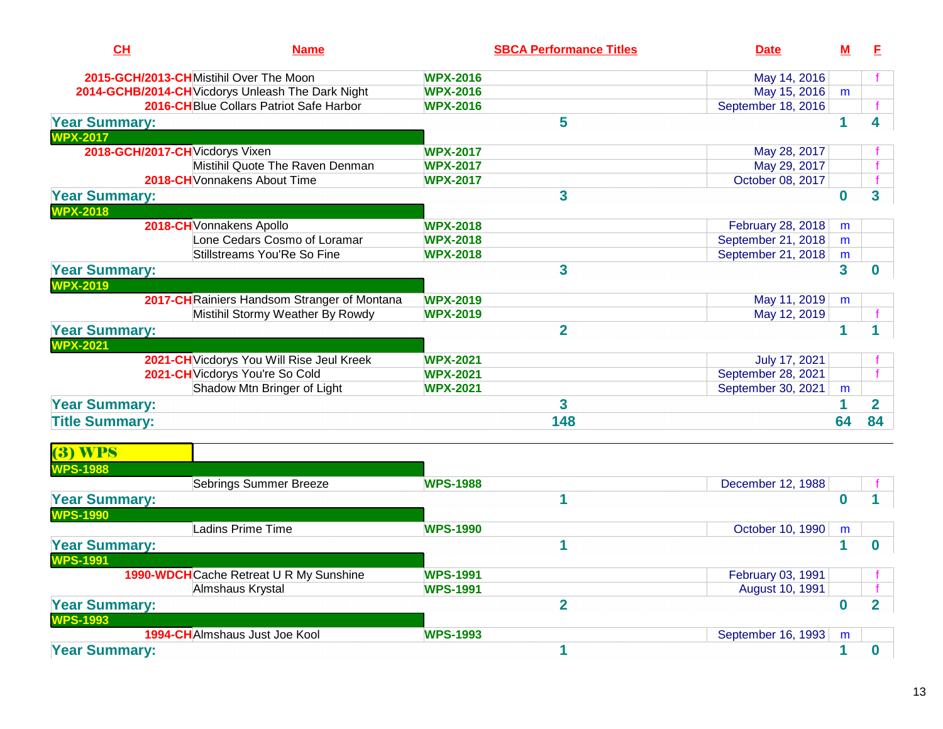| CH                                      | <b>Name</b>                                       | <b>SBCA Performance Titles</b> | <b>Date</b>        | м                       | E              |  |
|-----------------------------------------|---------------------------------------------------|--------------------------------|--------------------|-------------------------|----------------|--|
|                                         | 2015-GCH/2013-CHMistihil Over The Moon            | <b>WPX-2016</b>                | May 14, 2016       |                         |                |  |
|                                         | 2014-GCHB/2014-CH Vicdorys Unleash The Dark Night | <b>WPX-2016</b>                | May 15, 2016       | m                       |                |  |
|                                         | 2016-CHBlue Collars Patriot Safe Harbor           | <b>WPX-2016</b>                | September 18, 2016 |                         |                |  |
| <b>Year Summary:</b><br><b>WPX-2017</b> |                                                   | 5                              |                    | 1                       |                |  |
|                                         | 2018-GCH/2017-CH Vicdorys Vixen                   | <b>WPX-2017</b>                | May 28, 2017       |                         |                |  |
|                                         | Mistihil Quote The Raven Denman                   | <b>WPX-2017</b>                | May 29, 2017       |                         |                |  |
|                                         | 2018-CH Vonnakens About Time                      | <b>WPX-2017</b>                | October 08, 2017   |                         |                |  |
| <b>Year Summary:</b><br><b>WPX-2018</b> |                                                   | 3                              |                    | $\bf{0}$                | 3              |  |
|                                         | 2018-CH Vonnakens Apollo                          | <b>WPX-2018</b>                | February 28, 2018  | m                       |                |  |
|                                         | Lone Cedars Cosmo of Loramar                      | <b>WPX-2018</b>                | September 21, 2018 | m                       |                |  |
|                                         | Stillstreams You'Re So Fine                       | <b>WPX-2018</b>                | September 21, 2018 | m                       |                |  |
| <b>Year Summary:</b><br><b>WPX-2019</b> |                                                   | 3                              |                    | $\overline{\mathbf{3}}$ | 0              |  |
|                                         | 2017-CH Rainiers Handsom Stranger of Montana      | <b>WPX-2019</b>                | May 11, 2019       | m                       |                |  |
|                                         | Mistihil Stormy Weather By Rowdy                  | <b>WPX-2019</b>                | May 12, 2019       |                         |                |  |
| <b>Year Summary:</b><br><b>WPX-2021</b> |                                                   | $\overline{2}$                 |                    | 1                       |                |  |
|                                         | 2021-CH Vicdorys You Will Rise Jeul Kreek         | <b>WPX-2021</b>                | July 17, 2021      |                         |                |  |
|                                         | 2021-CH Vicdorys You're So Cold                   | <b>WPX-2021</b>                | September 28, 2021 |                         |                |  |
|                                         | Shadow Mtn Bringer of Light                       | <b>WPX-2021</b>                | September 30, 2021 | m                       |                |  |
| <b>Year Summary:</b>                    |                                                   | 3                              |                    | 1                       | $\overline{2}$ |  |
| <b>Title Summary:</b>                   |                                                   | 148                            |                    | 64                      | 84             |  |
| <b>(3) WPS</b><br><b>WPS-1988</b>       |                                                   |                                |                    |                         |                |  |
|                                         | <b>Sebrings Summer Breeze</b>                     | <b>WPS-1988</b>                | December 12, 1988  |                         |                |  |
| <b>Year Summary:</b><br><b>WPS-1990</b> |                                                   | 1                              |                    | $\mathbf 0$             |                |  |
|                                         | Ladins Prime Time                                 | <b>WPS-1990</b>                | October 10, 1990   | m                       |                |  |
| <b>Year Summary:</b><br><b>WPS-1991</b> |                                                   | 1                              |                    | 1                       | 0              |  |
|                                         | 1990-WDCH Cache Retreat U R My Sunshine           | <b>WPS-1991</b>                | February 03, 1991  |                         |                |  |
|                                         | Almshaus Krystal                                  | <b>WPS-1991</b>                | August 10, 1991    |                         |                |  |
| <b>Year Summary:</b>                    |                                                   | $\overline{2}$                 |                    | $\bf{0}$                | $\overline{2}$ |  |

| IVV I             |          |           |
|-------------------|----------|-----------|
| ∵Joe Kool<br>Jus* | 1002<br> | 993<br>мı |
|                   |          |           |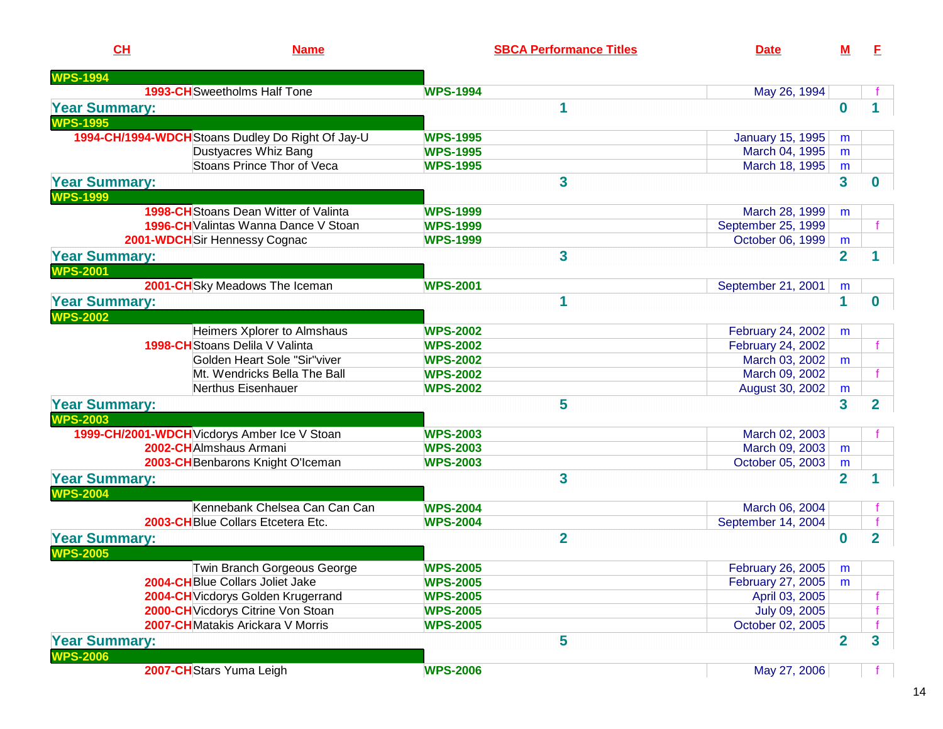| CH                   | <b>Name</b>                                       | <b>SBCA Performance Titles</b> | <b>Date</b>             | M                       | E                       |
|----------------------|---------------------------------------------------|--------------------------------|-------------------------|-------------------------|-------------------------|
| <b>WPS-1994</b>      |                                                   |                                |                         |                         |                         |
|                      | <b>1993-CH</b> Sweetholms Half Tone               | <b>WPS-1994</b>                | May 26, 1994            |                         |                         |
| <b>Year Summary:</b> |                                                   | 1                              |                         | $\bf{0}$                |                         |
| <b>WPS-1995</b>      |                                                   |                                |                         |                         |                         |
|                      | 1994-CH/1994-WDCH Stoans Dudley Do Right Of Jay-U | <b>WPS-1995</b>                | <b>January 15, 1995</b> | m                       |                         |
|                      | Dustyacres Whiz Bang                              | <b>WPS-1995</b>                | March 04, 1995          | m                       |                         |
|                      | Stoans Prince Thor of Veca                        | <b>WPS-1995</b>                | March 18, 1995          | m                       |                         |
| <b>Year Summary:</b> |                                                   | 3                              |                         | $\overline{\mathbf{3}}$ | 0                       |
| <b>NPS-1999</b>      |                                                   |                                |                         |                         |                         |
|                      | <b>1998-CH</b> Stoans Dean Witter of Valinta      | <b>WPS-1999</b>                | March 28, 1999          | m                       |                         |
|                      | <b>1996-CH</b> Valintas Wanna Dance V Stoan       | <b>WPS-1999</b>                | September 25, 1999      |                         |                         |
|                      | 2001-WDCH Sir Hennessy Cognac                     | <b>WPS-1999</b>                | October 06, 1999        | m                       |                         |
| <b>Year Summary:</b> |                                                   | 3                              |                         | $\overline{2}$          |                         |
| <b>WPS-2001</b>      |                                                   |                                |                         |                         |                         |
|                      | 2001-CH Sky Meadows The Iceman                    | <b>WPS-2001</b>                | September 21, 2001      | m                       |                         |
| <b>Year Summary:</b> |                                                   | 1                              |                         | 1                       | 0                       |
| <b>WPS-2002</b>      |                                                   |                                |                         |                         |                         |
|                      | Heimers Xplorer to Almshaus                       | <b>WPS-2002</b>                | February 24, 2002       | m                       |                         |
|                      | 1998-CH Stoans Delila V Valinta                   | <b>WPS-2002</b>                | February 24, 2002       |                         |                         |
|                      | Golden Heart Sole "Sir"viver                      | <b>WPS-2002</b>                | March 03, 2002          | m                       |                         |
|                      | Mt. Wendricks Bella The Ball                      | <b>WPS-2002</b>                | March 09, 2002          |                         |                         |
|                      | Nerthus Eisenhauer                                | <b>WPS-2002</b>                | August 30, 2002         | m                       |                         |
| <b>Year Summary:</b> |                                                   | 5                              |                         | $\overline{\mathbf{3}}$ | $\overline{\mathbf{2}}$ |
| <b>WPS-2003</b>      |                                                   |                                |                         |                         |                         |
|                      | 1999-CH/2001-WDCH Vicdorys Amber Ice V Stoan      | <b>WPS-2003</b>                | March 02, 2003          |                         |                         |
|                      | 2002-CHAImshaus Armani                            | <b>WPS-2003</b>                | March 09, 2003          | m                       |                         |
|                      | 2003-CH Benbarons Knight O'Iceman                 | <b>WPS-2003</b>                | October 05, 2003        | m                       |                         |
| <b>Year Summary:</b> |                                                   | 3                              |                         | $\overline{2}$          | 1                       |
| <b>WPS-2004</b>      |                                                   |                                |                         |                         |                         |
|                      | Kennebank Chelsea Can Can Can                     | <b>WPS-2004</b>                | March 06, 2004          |                         |                         |
|                      | 2003-CHBlue Collars Etcetera Etc.                 | <b>WPS-2004</b>                | September 14, 2004      |                         |                         |
| <b>Year Summary:</b> |                                                   | $\overline{2}$                 |                         | $\bf{0}$                | $\overline{2}$          |
| <b>WPS-2005</b>      |                                                   |                                |                         |                         |                         |
|                      | Twin Branch Gorgeous George                       | <b>WPS-2005</b>                | February 26, 2005       | m                       |                         |
|                      | 2004-CHBlue Collars Joliet Jake                   | <b>WPS-2005</b>                | February 27, 2005       | m                       |                         |
|                      | 2004-CH Vicdorys Golden Krugerrand                | <b>WPS-2005</b>                | April 03, 2005          |                         |                         |
|                      | 2000-CH Vicdorys Citrine Von Stoan                | <b>WPS-2005</b>                | July 09, 2005           |                         |                         |
|                      | 2007-CHMatakis Arickara V Morris                  | <b>WPS-2005</b>                | October 02, 2005        |                         |                         |
| <b>Year Summary:</b> |                                                   | 5                              |                         | $\overline{2}$          | 3                       |
| <b>WPS-2006</b>      |                                                   |                                |                         |                         |                         |
|                      | 2007-CHStars Yuma Leigh                           | <b>WPS-2006</b>                | May 27, 2006            |                         |                         |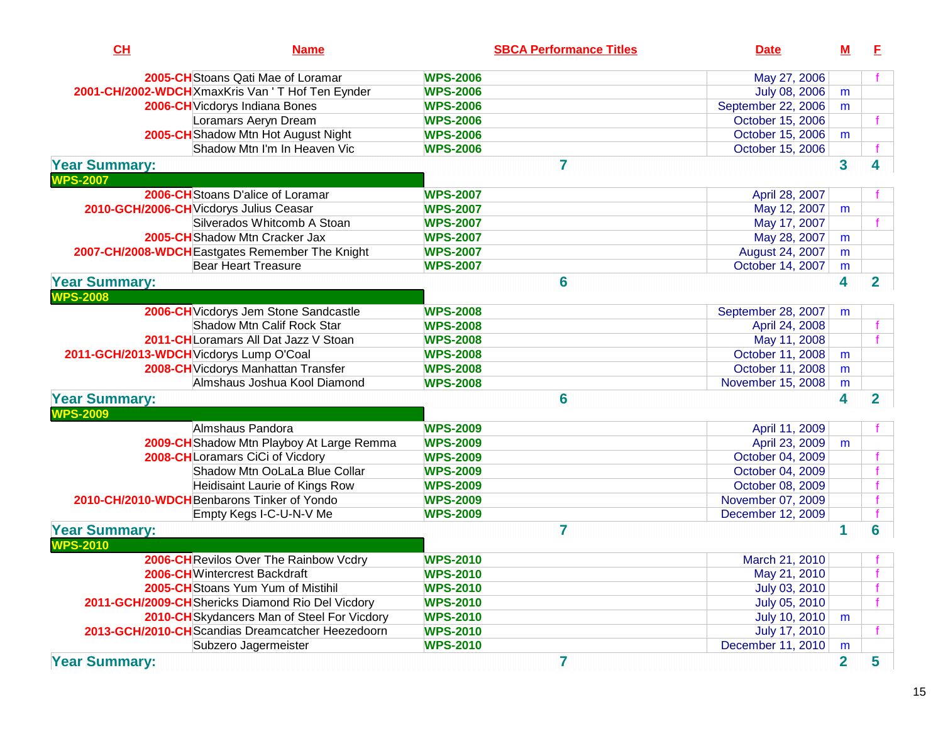| CH                   | <b>Name</b>                                       |                 | <b>SBCA Performance Titles</b> | <b>Date</b>        | <u>M</u>                | E            |
|----------------------|---------------------------------------------------|-----------------|--------------------------------|--------------------|-------------------------|--------------|
|                      | 2005-CH Stoans Qati Mae of Loramar                | <b>WPS-2006</b> |                                | May 27, 2006       |                         |              |
|                      | 2001-CH/2002-WDCH XmaxKris Van ' T Hof Ten Eynder | <b>WPS-2006</b> |                                | July 08, 2006      | m                       |              |
|                      | 2006-CH Vicdorys Indiana Bones                    | <b>WPS-2006</b> |                                | September 22, 2006 | m                       |              |
|                      | Loramars Aeryn Dream                              | <b>WPS-2006</b> |                                | October 15, 2006   |                         |              |
|                      | 2005-CH Shadow Mtn Hot August Night               | <b>WPS-2006</b> |                                | October 15, 2006   | m                       |              |
|                      | Shadow Mtn I'm In Heaven Vic                      | <b>WPS-2006</b> |                                | October 15, 2006   |                         |              |
| <b>Year Summary:</b> |                                                   |                 | $\overline{\mathbf{r}}$        |                    | $\overline{\mathbf{3}}$ |              |
| <b>WPS-2007</b>      |                                                   |                 |                                |                    |                         |              |
|                      | 2006-CHStoans D'alice of Loramar                  | <b>WPS-2007</b> |                                | April 28, 2007     |                         |              |
|                      | 2010-GCH/2006-CH Vicdorys Julius Ceasar           | <b>WPS-2007</b> |                                | May 12, 2007       | m                       |              |
|                      | Silverados Whitcomb A Stoan                       | <b>WPS-2007</b> |                                | May 17, 2007       |                         |              |
|                      | 2005-CHShadow Mtn Cracker Jax                     | <b>WPS-2007</b> |                                | May 28, 2007       | m                       |              |
|                      | 2007-CH/2008-WDCH Eastgates Remember The Knight   | <b>WPS-2007</b> |                                | August 24, 2007    | m                       |              |
|                      | <b>Bear Heart Treasure</b>                        | <b>WPS-2007</b> |                                | October 14, 2007   | m                       |              |
| <b>Year Summary:</b> |                                                   |                 | 6                              |                    | 4                       | $\mathbf{2}$ |
| <b>WPS-2008</b>      |                                                   |                 |                                |                    |                         |              |
|                      | 2006-CH Vicdorys Jem Stone Sandcastle             | <b>WPS-2008</b> |                                | September 28, 2007 | m                       |              |
|                      | <b>Shadow Mtn Calif Rock Star</b>                 | <b>WPS-2008</b> |                                | April 24, 2008     |                         |              |
|                      | 2011-CH Loramars All Dat Jazz V Stoan             | <b>WPS-2008</b> |                                | May 11, 2008       |                         |              |
|                      | 2011-GCH/2013-WDCH Vicdorys Lump O'Coal           | <b>WPS-2008</b> |                                | October 11, 2008   | m                       |              |
|                      | 2008-CH Vicdorys Manhattan Transfer               | <b>WPS-2008</b> |                                | October 11, 2008   | m                       |              |
|                      | Almshaus Joshua Kool Diamond                      | <b>WPS-2008</b> |                                | November 15, 2008  | m                       |              |
| <b>Year Summary:</b> |                                                   |                 | 6                              |                    | 4                       | $\mathbf{2}$ |
| <b>WPS-2009</b>      |                                                   |                 |                                |                    |                         |              |
|                      | Almshaus Pandora                                  | <b>WPS-2009</b> |                                | April 11, 2009     |                         |              |
|                      | 2009-CH Shadow Mtn Playboy At Large Remma         | <b>WPS-2009</b> |                                | April 23, 2009     | m                       |              |
|                      | 2008-CHLoramars CiCi of Vicdory                   | <b>WPS-2009</b> |                                | October 04, 2009   |                         |              |
|                      | Shadow Mtn OoLaLa Blue Collar                     | <b>WPS-2009</b> |                                | October 04, 2009   |                         |              |
|                      | Heidisaint Laurie of Kings Row                    | <b>WPS-2009</b> |                                | October 08, 2009   |                         |              |
|                      | 2010-CH/2010-WDCH Benbarons Tinker of Yondo       | <b>WPS-2009</b> |                                | November 07, 2009  |                         |              |
|                      | Empty Kegs I-C-U-N-V Me                           | <b>WPS-2009</b> |                                | December 12, 2009  |                         |              |
| <b>Year Summary:</b> |                                                   |                 | $\overline{7}$                 |                    |                         | 6            |
| <b>WPS-2010</b>      |                                                   |                 |                                |                    |                         |              |
|                      | 2006-CH Revilos Over The Rainbow Vcdry            | <b>WPS-2010</b> |                                | March 21, 2010     |                         |              |
|                      | 2006-CH Wintercrest Backdraft                     | <b>WPS-2010</b> |                                | May 21, 2010       |                         |              |
|                      | 2005-CHStoans Yum Yum of Mistihil                 | <b>WPS-2010</b> |                                | July 03, 2010      |                         |              |
|                      | 2011-GCH/2009-CH Shericks Diamond Rio Del Vicdory | <b>WPS-2010</b> |                                | July 05, 2010      |                         |              |
|                      | 2010-CH Skydancers Man of Steel For Vicdory       | <b>WPS-2010</b> |                                | July 10, 2010      | m                       |              |
|                      | 2013-GCH/2010-CHScandias Dreamcatcher Heezedoorn  | <b>WPS-2010</b> |                                | July 17, 2010      |                         |              |
|                      | Subzero Jagermeister                              | <b>WPS-2010</b> |                                | December 11, 2010  | m                       |              |
| <b>Year Summary:</b> |                                                   |                 | 7                              |                    | $\overline{2}$          | 5            |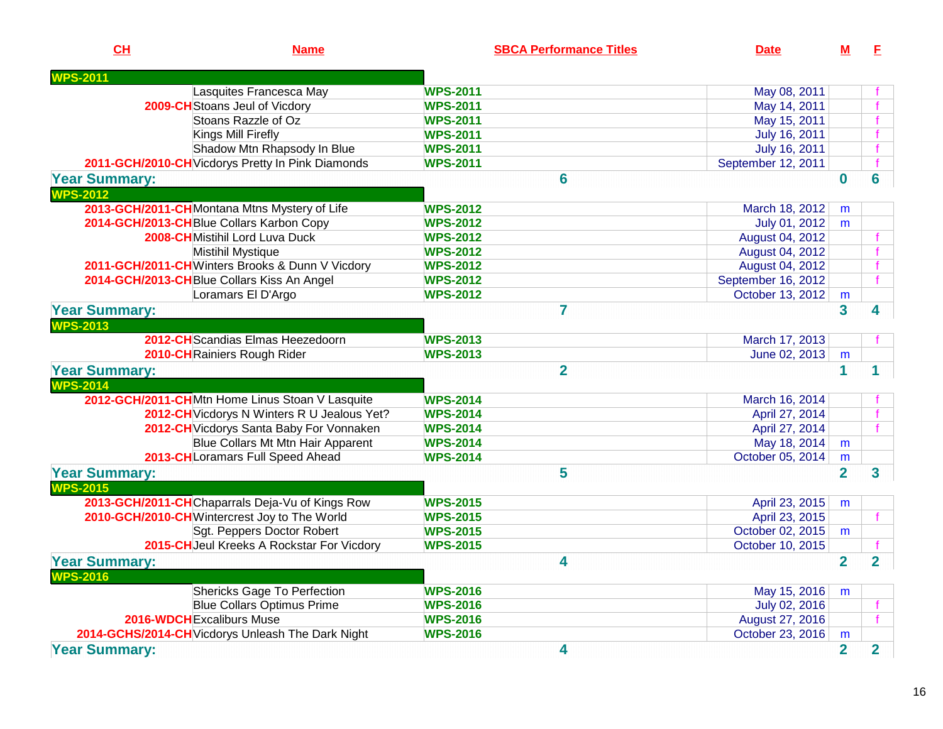| CH                                         | <b>Name</b>                                       | <b>SBCA Performance Titles</b> | <b>Date</b>        | м              | E              |
|--------------------------------------------|---------------------------------------------------|--------------------------------|--------------------|----------------|----------------|
| <b>VPS-2011</b>                            |                                                   |                                |                    |                |                |
|                                            | Lasquites Francesca May                           | <b>WPS-2011</b>                | May 08, 2011       |                |                |
|                                            | 2009-CH Stoans Jeul of Vicdory                    | <b>WPS-2011</b>                | May 14, 2011       |                |                |
|                                            | Stoans Razzle of Oz                               | <b>WPS-2011</b>                | May 15, 2011       |                |                |
|                                            | <b>Kings Mill Firefly</b>                         | <b>WPS-2011</b>                | July 16, 2011      |                |                |
|                                            | Shadow Mtn Rhapsody In Blue                       | <b>WPS-2011</b>                | July 16, 2011      |                |                |
|                                            | 2011-GCH/2010-CH Vicdorys Pretty In Pink Diamonds | <b>WPS-2011</b>                | September 12, 2011 |                |                |
| <b>Year Summary:</b>                       |                                                   | 6                              |                    | $\bf{0}$       | 6              |
| <b>WPS-2012</b>                            |                                                   |                                |                    |                |                |
|                                            | 2013-GCH/2011-CHMontana Mtns Mystery of Life      | <b>WPS-2012</b>                | March 18, 2012     | m              |                |
| 2014-GCH/2013-CH Blue Collars Karbon Copy  |                                                   | <b>WPS-2012</b>                | July 01, 2012      | m              |                |
|                                            | 2008-CHMistihil Lord Luva Duck                    | <b>WPS-2012</b>                | August 04, 2012    |                |                |
|                                            | Mistihil Mystique                                 | <b>WPS-2012</b>                | August 04, 2012    |                |                |
|                                            | 2011-GCH/2011-CHWinters Brooks & Dunn V Vicdory   | <b>WPS-2012</b>                | August 04, 2012    |                |                |
| 2014-GCH/2013-CHBlue Collars Kiss An Angel |                                                   | <b>WPS-2012</b>                | September 16, 2012 |                |                |
|                                            | Loramars El D'Argo                                | <b>WPS-2012</b>                | October 13, 2012   | m              |                |
| <b>Year Summary:</b>                       |                                                   | $\overline{7}$                 |                    | 3              | 4              |
| <b>WPS-2013</b>                            |                                                   |                                |                    |                |                |
|                                            | 2012-CH Scandias Elmas Heezedoorn                 | <b>WPS-2013</b>                | March 17, 2013     |                |                |
|                                            | 2010-CHRainiers Rough Rider                       | <b>WPS-2013</b>                | June 02, 2013      | m              |                |
| <b>Year Summary:</b>                       |                                                   | $\overline{2}$                 |                    | 1              | 1              |
| <b>WPS-2014</b>                            |                                                   |                                |                    |                |                |
|                                            | 2012-GCH/2011-CHMtn Home Linus Stoan V Lasquite   | <b>WPS-2014</b>                | March 16, 2014     |                |                |
|                                            | 2012-CH Vicdorys N Winters R U Jealous Yet?       | <b>WPS-2014</b>                | April 27, 2014     |                |                |
|                                            | 2012-CH Vicdorys Santa Baby For Vonnaken          | <b>WPS-2014</b>                | April 27, 2014     |                |                |
|                                            | <b>Blue Collars Mt Mtn Hair Apparent</b>          | <b>WPS-2014</b>                | May 18, 2014       | m              |                |
|                                            | 2013-CHLoramars Full Speed Ahead                  | <b>WPS-2014</b>                | October 05, 2014   | m              |                |
| <b>Year Summary:</b>                       |                                                   | 5                              |                    | $\overline{2}$ | 3              |
| <b>WPS-2015</b>                            |                                                   |                                |                    |                |                |
|                                            | 2013-GCH/2011-CHChaparrals Deja-Vu of Kings Row   | <b>WPS-2015</b>                | April 23, 2015     |                |                |
|                                            | 2010-GCH/2010-CHWintercrest Joy to The World      | <b>WPS-2015</b>                | April 23, 2015     | m              | f              |
|                                            | Sgt. Peppers Doctor Robert                        | <b>WPS-2015</b>                | October 02, 2015   |                |                |
|                                            | 2015-CH Jeul Kreeks A Rockstar For Vicdory        | <b>WPS-2015</b>                | October 10, 2015   | m              |                |
|                                            |                                                   |                                |                    |                |                |
| <b>Year Summary:</b><br><b>WPS-2016</b>    |                                                   | 4                              |                    | $\overline{2}$ | $\overline{2}$ |
|                                            | Shericks Gage To Perfection                       | <b>WPS-2016</b>                | May 15, 2016       | m              |                |
|                                            | <b>Blue Collars Optimus Prime</b>                 | <b>WPS-2016</b>                | July 02, 2016      |                |                |
| 2016-WDCH Excaliburs Muse                  |                                                   | <b>WPS-2016</b>                | August 27, 2016    |                |                |
|                                            | 2014-GCHS/2014-CH Vicdorys Unleash The Dark Night | <b>WPS-2016</b>                | October 23, 2016   | m              |                |
| <b>Year Summary:</b>                       |                                                   | 4                              |                    | $\overline{2}$ | $\overline{2}$ |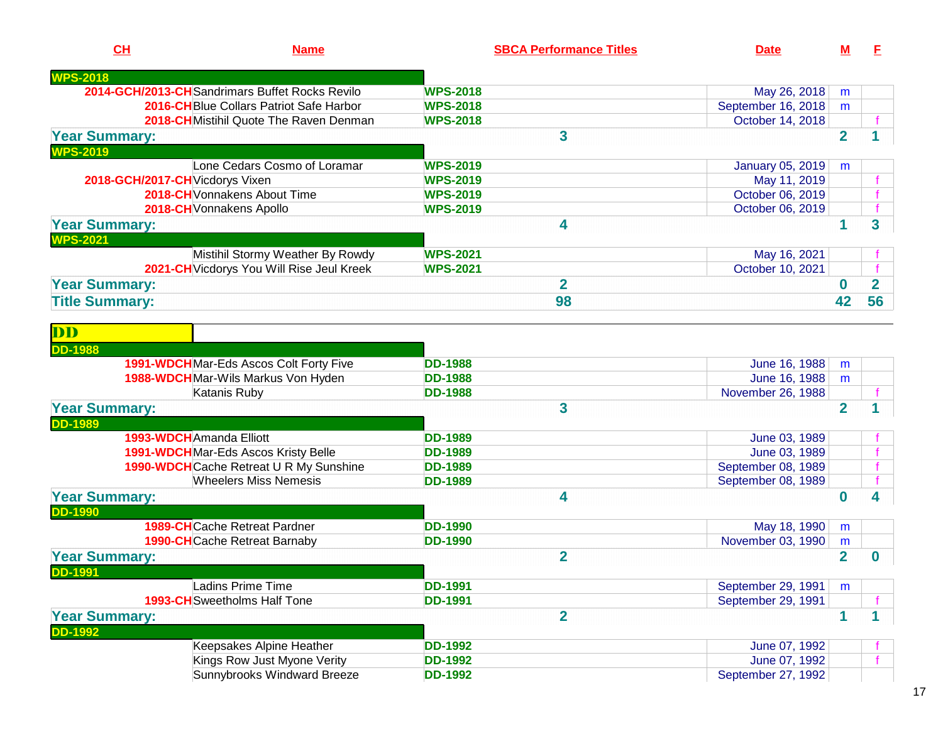| CH                                | <b>Name</b>                                                                  | <b>SBCA Performance Titles</b>   | <b>Date</b>                       | M                   | E              |
|-----------------------------------|------------------------------------------------------------------------------|----------------------------------|-----------------------------------|---------------------|----------------|
| <b>WPS-2018</b>                   |                                                                              |                                  |                                   |                     |                |
|                                   | 2014-GCH/2013-CHSandrimars Buffet Rocks Revilo                               | <b>WPS-2018</b>                  | May 26, 2018                      | m                   |                |
|                                   | 2016-CH Blue Collars Patriot Safe Harbor                                     | <b>WPS-2018</b>                  | September 16, 2018                | m                   |                |
|                                   | 2018-CHMistihil Quote The Raven Denman                                       | <b>WPS-2018</b>                  | October 14, 2018                  |                     |                |
| <b>Year Summary:</b>              |                                                                              | 3                                |                                   | $\overline{2}$      |                |
| <b>WPS-2019</b>                   |                                                                              |                                  |                                   |                     |                |
|                                   | Lone Cedars Cosmo of Loramar                                                 | <b>WPS-2019</b>                  | <b>January 05, 2019</b>           | m                   |                |
|                                   | 2018-GCH/2017-CH Vicdorys Vixen                                              | <b>WPS-2019</b>                  | May 11, 2019                      |                     |                |
|                                   | 2018-CH Vonnakens About Time                                                 | <b>WPS-2019</b>                  | October 06, 2019                  |                     |                |
|                                   | 2018-CH Vonnakens Apollo                                                     | <b>WPS-2019</b>                  | October 06, 2019                  |                     |                |
| <b>Year Summary:</b>              |                                                                              | 4                                |                                   | 1                   | 3              |
| <b>WPS-2021</b>                   |                                                                              |                                  |                                   |                     |                |
|                                   | Mistihil Stormy Weather By Rowdy                                             | <b>WPS-2021</b>                  | May 16, 2021                      |                     |                |
|                                   | 2021-CH Vicdorys You Will Rise Jeul Kreek                                    | <b>WPS-2021</b>                  | October 10, 2021                  |                     |                |
| <b>Year Summary:</b>              |                                                                              | $\overline{2}$                   |                                   | $\bf{0}$            | $\overline{2}$ |
| <b>Title Summary:</b>             |                                                                              | 98                               |                                   | 42                  | 56             |
|                                   |                                                                              |                                  |                                   |                     |                |
| $\overline{\mathbf{D}}\mathbf{D}$ |                                                                              |                                  |                                   |                     |                |
| <b>DD-1988</b>                    |                                                                              |                                  |                                   |                     |                |
|                                   |                                                                              | <b>DD-1988</b>                   |                                   |                     |                |
|                                   | 1991-WDCHMar-Eds Ascos Colt Forty Five<br>1988-WDCHMar-Wils Markus Von Hyden | <b>DD-1988</b>                   | June 16, 1988<br>June 16, 1988    | m                   |                |
|                                   | Katanis Ruby                                                                 | <b>DD-1988</b>                   | November 26, 1988                 | m                   |                |
|                                   |                                                                              | 3                                |                                   | $\overline{2}$      |                |
| <b>Year Summary:</b>              |                                                                              |                                  |                                   |                     |                |
| <b>DD-1989</b>                    | 1993-WDCHAmanda Elliott                                                      | <b>DD-1989</b>                   | June 03, 1989                     |                     |                |
|                                   | 1991-WDCH Mar-Eds Ascos Kristy Belle                                         | <b>DD-1989</b>                   | June 03, 1989                     |                     |                |
|                                   | 1990-WDCH Cache Retreat U R My Sunshine                                      | <b>DD-1989</b>                   | September 08, 1989                |                     |                |
|                                   | <b>Wheelers Miss Nemesis</b>                                                 | <b>DD-1989</b>                   | September 08, 1989                |                     |                |
|                                   |                                                                              | 4                                |                                   | $\bf{0}$            | 4              |
| <b>Year Summary:</b>              |                                                                              |                                  |                                   |                     |                |
| <b>DD-1990</b>                    | <b>1989-CH</b> Cache Retreat Pardner                                         | <b>DD-1990</b>                   |                                   |                     |                |
|                                   | <b>1990-CH</b> Cache Retreat Barnaby                                         | <b>DD-1990</b>                   | May 18, 1990<br>November 03, 1990 | m                   |                |
|                                   |                                                                              | $\overline{2}$                   |                                   | m<br>$\overline{2}$ | $\bf{0}$       |
| <b>Year Summary:</b>              |                                                                              |                                  |                                   |                     |                |
| <b>DD-1991</b>                    |                                                                              |                                  |                                   |                     |                |
|                                   | Ladins Prime Time<br><b>1993-CH</b> Sweetholms Half Tone                     | <b>DD-1991</b><br><b>DD-1991</b> | September 29, 1991                | m                   |                |
|                                   |                                                                              |                                  | September 29, 1991                |                     |                |
| <b>Year Summary:</b>              |                                                                              | $\overline{\mathbf{2}}$          |                                   | 1                   | 1              |
| <b>DD-1992</b>                    |                                                                              |                                  |                                   |                     |                |
|                                   | Keepsakes Alpine Heather                                                     | <b>DD-1992</b>                   | June 07, 1992                     |                     |                |
|                                   | Kings Row Just Myone Verity                                                  | <b>DD-1992</b>                   | June 07, 1992                     |                     |                |
|                                   | Sunnybrooks Windward Breeze                                                  | <b>DD-1992</b>                   | September 27, 1992                |                     |                |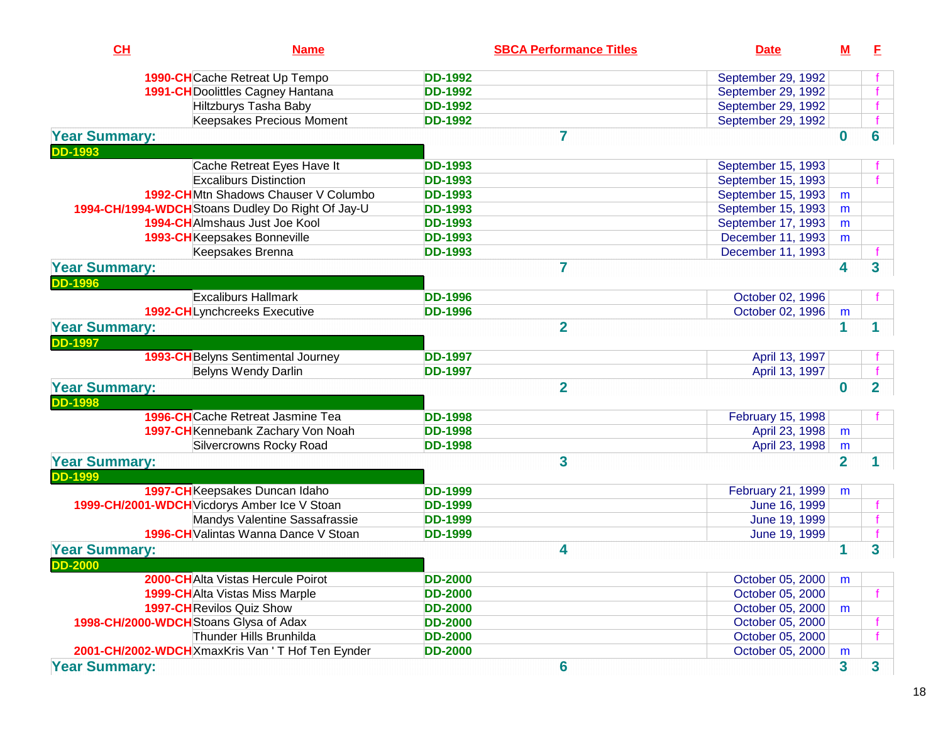| CH                                     | <b>Name</b>                                       |                | <b>SBCA Performance Titles</b> | <b>Date</b>        | М              | E              |
|----------------------------------------|---------------------------------------------------|----------------|--------------------------------|--------------------|----------------|----------------|
|                                        | 1990-CHCache Retreat Up Tempo                     | <b>DD-1992</b> |                                | September 29, 1992 |                |                |
|                                        | 1991-CH Doolittles Cagney Hantana                 | <b>DD-1992</b> |                                | September 29, 1992 |                |                |
|                                        | <b>Hiltzburys Tasha Baby</b>                      | <b>DD-1992</b> |                                | September 29, 1992 |                |                |
|                                        | <b>Keepsakes Precious Moment</b>                  | <b>DD-1992</b> |                                | September 29, 1992 |                |                |
| <b>Year Summary:</b>                   |                                                   |                | $\overline{7}$                 |                    | $\bf{0}$       | 6              |
| <b>DD-1993</b>                         |                                                   |                |                                |                    |                |                |
|                                        | Cache Retreat Eyes Have It                        | <b>DD-1993</b> |                                | September 15, 1993 |                |                |
|                                        | <b>Excaliburs Distinction</b>                     | <b>DD-1993</b> |                                | September 15, 1993 |                |                |
|                                        | 1992-CHMtn Shadows Chauser V Columbo              | <b>DD-1993</b> |                                | September 15, 1993 | m              |                |
|                                        | 1994-CH/1994-WDCH Stoans Dudley Do Right Of Jay-U | <b>DD-1993</b> |                                | September 15, 1993 | m              |                |
|                                        | <b>1994-CH</b> Almshaus Just Joe Kool             | <b>DD-1993</b> |                                | September 17, 1993 | m              |                |
|                                        | 1993-CHKeepsakes Bonneville                       | <b>DD-1993</b> |                                | December 11, 1993  | m              |                |
|                                        | Keepsakes Brenna                                  | <b>DD-1993</b> |                                | December 11, 1993  |                |                |
| <b>Year Summary:</b>                   |                                                   |                | $\overline{7}$                 |                    | 4              | 3              |
| <b>DD-1996</b>                         |                                                   |                |                                |                    |                |                |
|                                        | <b>Excaliburs Hallmark</b>                        | <b>DD-1996</b> |                                | October 02, 1996   |                |                |
|                                        | 1992-CHLynchcreeks Executive                      | <b>DD-1996</b> |                                | October 02, 1996   | m              |                |
| <b>Year Summary:</b>                   |                                                   |                | $\overline{2}$                 |                    | 1              |                |
| <b>DD-1997</b>                         |                                                   |                |                                |                    |                |                |
|                                        | 1993-CH Belyns Sentimental Journey                | <b>DD-1997</b> |                                | April 13, 1997     |                |                |
|                                        | Belyns Wendy Darlin                               | <b>DD-1997</b> |                                | April 13, 1997     |                |                |
| <b>Year Summary:</b>                   |                                                   |                | $\overline{2}$                 |                    | $\bf{0}$       | $\overline{2}$ |
| <b>DD-1998</b>                         |                                                   |                |                                |                    |                |                |
|                                        | <b>1996-CH</b> Cache Retreat Jasmine Tea          | <b>DD-1998</b> |                                | February 15, 1998  |                |                |
|                                        | 1997-CH Kennebank Zachary Von Noah                | <b>DD-1998</b> |                                | April 23, 1998     | m              |                |
|                                        | Silvercrowns Rocky Road                           | <b>DD-1998</b> |                                | April 23, 1998     | m              |                |
| <b>Year Summary:</b>                   |                                                   |                | 3                              |                    | $\overline{2}$ | 1              |
| <b>DD-1999</b>                         |                                                   |                |                                |                    |                |                |
|                                        | 1997-CH Keepsakes Duncan Idaho                    | <b>DD-1999</b> |                                | February 21, 1999  | m              |                |
|                                        | 1999-CH/2001-WDCH Vicdorys Amber Ice V Stoan      | <b>DD-1999</b> |                                | June 16, 1999      |                |                |
|                                        | Mandys Valentine Sassafrassie                     | <b>DD-1999</b> |                                | June 19, 1999      |                |                |
|                                        | 1996-CH Valintas Wanna Dance V Stoan              | <b>DD-1999</b> |                                | June 19, 1999      |                |                |
| <b>Year Summary:</b>                   |                                                   |                | 4                              |                    |                | 3              |
| <b>DD-2000</b>                         |                                                   |                |                                |                    |                |                |
|                                        | <b>2000-CH</b> Alta Vistas Hercule Poirot         | <b>DD-2000</b> |                                | October 05, 2000   | m              |                |
|                                        | <b>1999-CH</b> Alta Vistas Miss Marple            | <b>DD-2000</b> |                                | October 05, 2000   |                |                |
|                                        | <b>1997-CH</b> Revilos Quiz Show                  | <b>DD-2000</b> |                                | October 05, 2000   | m              |                |
| 1998-CH/2000-WDCH Stoans Glysa of Adax |                                                   | <b>DD-2000</b> |                                | October 05, 2000   |                |                |
|                                        | Thunder Hills Brunhilda                           | <b>DD-2000</b> |                                | October 05, 2000   |                |                |
|                                        | 2001-CH/2002-WDCH XmaxKris Van 'T Hof Ten Eynder  | <b>DD-2000</b> |                                | October 05, 2000   | m              |                |
| <b>Year Summary:</b>                   |                                                   |                | 6                              |                    | 3              | 3              |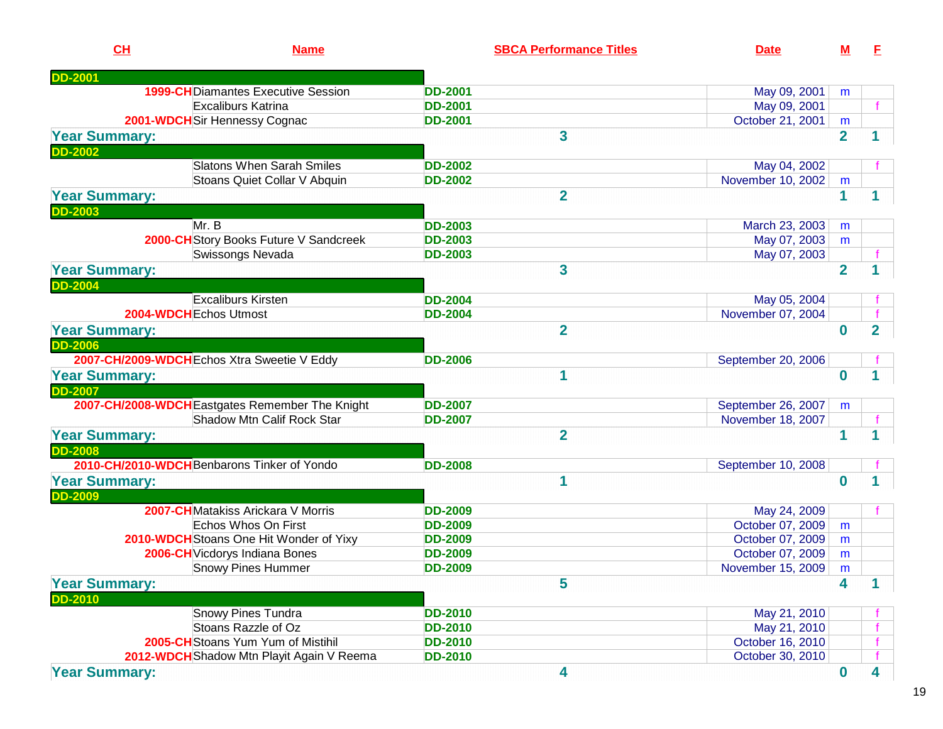| CH                   | <b>Name</b>                                     |                | <b>SBCA Performance Titles</b> | <b>Date</b>        | M              | E                       |
|----------------------|-------------------------------------------------|----------------|--------------------------------|--------------------|----------------|-------------------------|
| <b>DD-2001</b>       |                                                 |                |                                |                    |                |                         |
|                      | <b>1999-CH</b> Diamantes Executive Session      | <b>DD-2001</b> |                                | May 09, 2001       | m              |                         |
|                      | Excaliburs Katrina                              | <b>DD-2001</b> |                                | May 09, 2001       |                |                         |
|                      | 2001-WDCH Sir Hennessy Cognac                   | <b>DD-2001</b> |                                | October 21, 2001   | m              |                         |
| <b>Year Summary:</b> |                                                 |                | 3                              |                    | $\overline{2}$ |                         |
| <b>DD-2002</b>       |                                                 |                |                                |                    |                |                         |
|                      | <b>Slatons When Sarah Smiles</b>                | <b>DD-2002</b> |                                | May 04, 2002       |                |                         |
|                      | Stoans Quiet Collar V Abquin                    | <b>DD-2002</b> |                                | November 10, 2002  | m              |                         |
| <b>Year Summary:</b> |                                                 |                | $\overline{2}$                 |                    | 1              | 1                       |
| <b>DD-2003</b>       |                                                 |                |                                |                    |                |                         |
|                      | Mr. B                                           | <b>DD-2003</b> |                                | March 23, 2003     | m              |                         |
|                      | 2000-CH Story Books Future V Sandcreek          | <b>DD-2003</b> |                                | May 07, 2003       | m              |                         |
|                      | Swissongs Nevada                                | <b>DD-2003</b> |                                | May 07, 2003       |                |                         |
| <b>Year Summary:</b> |                                                 |                | 3                              |                    | $\overline{2}$ |                         |
| <b>DD-2004</b>       |                                                 |                |                                |                    |                |                         |
|                      | <b>Excaliburs Kirsten</b>                       | <b>DD-2004</b> |                                | May 05, 2004       |                |                         |
|                      | 2004-WDCH Echos Utmost                          | <b>DD-2004</b> |                                | November 07, 2004  |                |                         |
| <b>Year Summary:</b> |                                                 |                | $\overline{2}$                 |                    | $\bf{0}$       | $\overline{2}$          |
| <b>DD-2006</b>       |                                                 |                |                                |                    |                |                         |
|                      | 2007-CH/2009-WDCH Echos Xtra Sweetie V Eddy     | <b>DD-2006</b> |                                | September 20, 2006 |                |                         |
| <b>Year Summary:</b> |                                                 |                | 1                              |                    | $\bf{0}$       |                         |
| <b>DD-2007</b>       |                                                 |                |                                |                    |                |                         |
|                      | 2007-CH/2008-WDCH Eastgates Remember The Knight | <b>DD-2007</b> |                                | September 26, 2007 | m              |                         |
|                      | Shadow Mtn Calif Rock Star                      | <b>DD-2007</b> |                                | November 18, 2007  |                |                         |
| <b>Year Summary:</b> |                                                 |                | $\overline{2}$                 |                    | 1              |                         |
| <b>DD-2008</b>       |                                                 |                |                                |                    |                |                         |
|                      | 2010-CH/2010-WDCH Benbarons Tinker of Yondo     | <b>DD-2008</b> |                                | September 10, 2008 |                |                         |
| <b>Year Summary:</b> |                                                 |                | 1                              |                    | $\bf{0}$       |                         |
| <b>DD-2009</b>       |                                                 |                |                                |                    |                |                         |
|                      | <b>2007-CH</b> Matakiss Arickara V Morris       | <b>DD-2009</b> |                                | May 24, 2009       |                |                         |
|                      | Echos Whos On First                             | <b>DD-2009</b> |                                | October 07, 2009   | m              |                         |
|                      | 2010-WDCH Stoans One Hit Wonder of Yixy         | <b>DD-2009</b> |                                | October 07, 2009   | m              |                         |
|                      | 2006-CH Vicdorys Indiana Bones                  | <b>DD-2009</b> |                                | October 07, 2009   | m              |                         |
|                      | <b>Snowy Pines Hummer</b>                       | <b>DD-2009</b> |                                | November 15, 2009  | m              |                         |
| <b>Year Summary:</b> |                                                 |                | 5                              |                    | 4              | $\mathbf 1$             |
| <b>DD-2010</b>       |                                                 |                |                                |                    |                |                         |
|                      | Snowy Pines Tundra                              | <b>DD-2010</b> |                                | May 21, 2010       |                |                         |
|                      | Stoans Razzle of Oz                             | <b>DD-2010</b> |                                | May 21, 2010       |                |                         |
|                      | 2005-CH Stoans Yum Yum of Mistihil              | <b>DD-2010</b> |                                | October 16, 2010   |                |                         |
|                      | 2012-WDCH Shadow Mtn Playit Again V Reema       | <b>DD-2010</b> |                                | October 30, 2010   |                |                         |
| <b>Year Summary:</b> |                                                 |                | 4                              |                    | $\bf{0}$       | $\overline{\mathbf{4}}$ |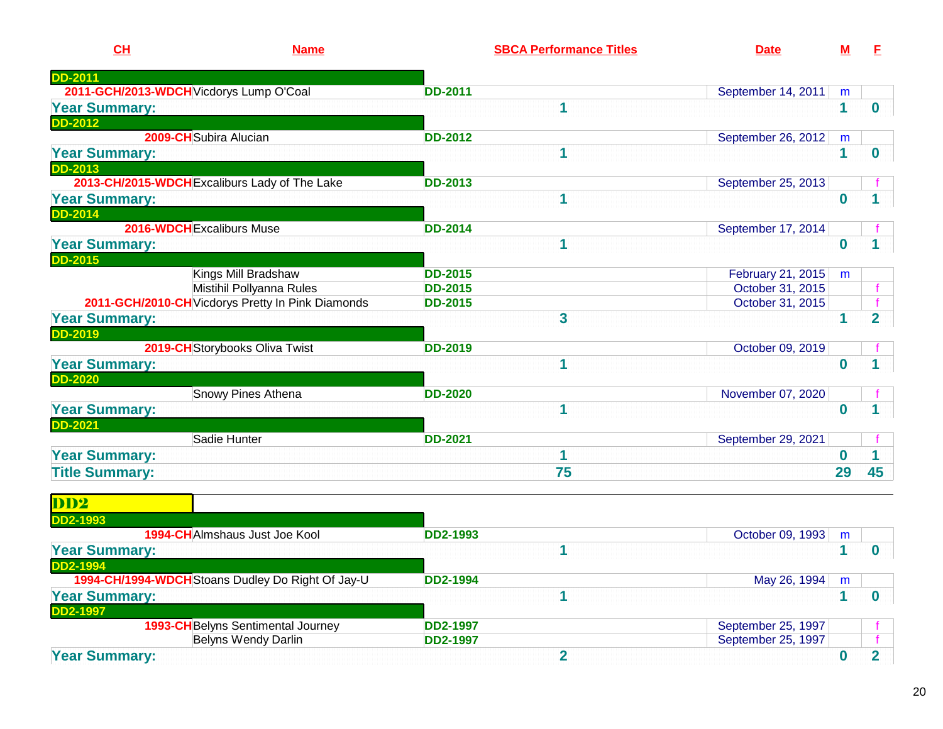| <b>DD-2011</b><br>2011-GCH/2013-WDCH Vicdorys Lump O'Coal<br><b>DD-2011</b><br>September 14, 2011<br>m<br>1<br>$\mathbf{1}$<br><b>Year Summary:</b><br>$\boldsymbol{0}$<br><b>DD-2012</b><br>2009-CH Subira Alucian<br><b>DD-2012</b><br>September 26, 2012<br>m<br>1<br>1<br><b>Year Summary:</b><br>$\bf{0}$<br><b>DD-2013</b><br>2013-CH/2015-WDCH Excaliburs Lady of The Lake<br>September 25, 2013<br><b>DD-2013</b><br>1<br>$\bf{0}$<br><b>Year Summary:</b><br><b>DD-2014</b><br>2016-WDCH Excaliburs Muse<br>September 17, 2014<br><b>DD-2014</b><br>1<br><b>Year Summary:</b><br>$\bf{0}$<br><b>DD-2015</b><br>Kings Mill Bradshaw<br>February 21, 2015<br><b>DD-2015</b><br>m<br>Mistihil Pollyanna Rules<br>October 31, 2015<br><b>DD-2015</b><br>f<br>2011-GCH/2010-CH Vicdorys Pretty In Pink Diamonds<br>October 31, 2015<br><b>DD-2015</b><br>$\overline{\mathbf{3}}$<br>$\mathbf{1}$<br>$\overline{2}$<br><b>Year Summary:</b><br><b>DD-2019</b><br>2019-CH Storybooks Oliva Twist<br><b>DD-2019</b><br>October 09, 2019<br>1<br>$\bf{0}$<br><b>Year Summary:</b><br><b>DD-2020</b><br>Snowy Pines Athena<br><b>DD-2020</b><br>November 07, 2020<br>1<br><b>Year Summary:</b><br>$\bf{0}$<br><b>DD-2021</b><br>Sadie Hunter<br><b>DD-2021</b><br>September 29, 2021<br><b>Year Summary:</b><br>1<br>$\mathbf{0}$<br>75<br>29<br><b>Title Summary:</b><br>45<br>DD <sup>2</sup><br><b>DD2-1993</b><br>1994-CHAImshaus Just Joe Kool<br><b>DD2-1993</b><br>October 09, 1993<br>m<br>1<br>$\mathbf 1$<br><b>Year Summary:</b><br>$\bf{0}$<br><b>DD2-1994</b><br>1994-CH/1994-WDCH Stoans Dudley Do Right Of Jay-U<br><b>DD2-1994</b><br>May 26, 1994<br>m<br><b>Year Summary:</b><br>1<br>1<br>$\bf{0}$<br><b>DD2-1997</b><br>1993-CH Belyns Sentimental Journey<br>September 25, 1997<br><b>DD2-1997</b><br>Belyns Wendy Darlin<br>September 25, 1997<br><b>DD2-1997</b> | CH                   | <b>Name</b> | <b>SBCA Performance Titles</b> | <b>Date</b> | <u>M</u>    | E              |
|----------------------------------------------------------------------------------------------------------------------------------------------------------------------------------------------------------------------------------------------------------------------------------------------------------------------------------------------------------------------------------------------------------------------------------------------------------------------------------------------------------------------------------------------------------------------------------------------------------------------------------------------------------------------------------------------------------------------------------------------------------------------------------------------------------------------------------------------------------------------------------------------------------------------------------------------------------------------------------------------------------------------------------------------------------------------------------------------------------------------------------------------------------------------------------------------------------------------------------------------------------------------------------------------------------------------------------------------------------------------------------------------------------------------------------------------------------------------------------------------------------------------------------------------------------------------------------------------------------------------------------------------------------------------------------------------------------------------------------------------------------------------------------------------------------------------------------------------------------------------------------------|----------------------|-------------|--------------------------------|-------------|-------------|----------------|
|                                                                                                                                                                                                                                                                                                                                                                                                                                                                                                                                                                                                                                                                                                                                                                                                                                                                                                                                                                                                                                                                                                                                                                                                                                                                                                                                                                                                                                                                                                                                                                                                                                                                                                                                                                                                                                                                                        |                      |             |                                |             |             |                |
|                                                                                                                                                                                                                                                                                                                                                                                                                                                                                                                                                                                                                                                                                                                                                                                                                                                                                                                                                                                                                                                                                                                                                                                                                                                                                                                                                                                                                                                                                                                                                                                                                                                                                                                                                                                                                                                                                        |                      |             |                                |             |             |                |
|                                                                                                                                                                                                                                                                                                                                                                                                                                                                                                                                                                                                                                                                                                                                                                                                                                                                                                                                                                                                                                                                                                                                                                                                                                                                                                                                                                                                                                                                                                                                                                                                                                                                                                                                                                                                                                                                                        |                      |             |                                |             |             |                |
|                                                                                                                                                                                                                                                                                                                                                                                                                                                                                                                                                                                                                                                                                                                                                                                                                                                                                                                                                                                                                                                                                                                                                                                                                                                                                                                                                                                                                                                                                                                                                                                                                                                                                                                                                                                                                                                                                        |                      |             |                                |             |             |                |
|                                                                                                                                                                                                                                                                                                                                                                                                                                                                                                                                                                                                                                                                                                                                                                                                                                                                                                                                                                                                                                                                                                                                                                                                                                                                                                                                                                                                                                                                                                                                                                                                                                                                                                                                                                                                                                                                                        |                      |             |                                |             |             |                |
|                                                                                                                                                                                                                                                                                                                                                                                                                                                                                                                                                                                                                                                                                                                                                                                                                                                                                                                                                                                                                                                                                                                                                                                                                                                                                                                                                                                                                                                                                                                                                                                                                                                                                                                                                                                                                                                                                        |                      |             |                                |             |             |                |
|                                                                                                                                                                                                                                                                                                                                                                                                                                                                                                                                                                                                                                                                                                                                                                                                                                                                                                                                                                                                                                                                                                                                                                                                                                                                                                                                                                                                                                                                                                                                                                                                                                                                                                                                                                                                                                                                                        |                      |             |                                |             |             |                |
|                                                                                                                                                                                                                                                                                                                                                                                                                                                                                                                                                                                                                                                                                                                                                                                                                                                                                                                                                                                                                                                                                                                                                                                                                                                                                                                                                                                                                                                                                                                                                                                                                                                                                                                                                                                                                                                                                        |                      |             |                                |             |             |                |
|                                                                                                                                                                                                                                                                                                                                                                                                                                                                                                                                                                                                                                                                                                                                                                                                                                                                                                                                                                                                                                                                                                                                                                                                                                                                                                                                                                                                                                                                                                                                                                                                                                                                                                                                                                                                                                                                                        |                      |             |                                |             |             |                |
|                                                                                                                                                                                                                                                                                                                                                                                                                                                                                                                                                                                                                                                                                                                                                                                                                                                                                                                                                                                                                                                                                                                                                                                                                                                                                                                                                                                                                                                                                                                                                                                                                                                                                                                                                                                                                                                                                        |                      |             |                                |             |             |                |
|                                                                                                                                                                                                                                                                                                                                                                                                                                                                                                                                                                                                                                                                                                                                                                                                                                                                                                                                                                                                                                                                                                                                                                                                                                                                                                                                                                                                                                                                                                                                                                                                                                                                                                                                                                                                                                                                                        |                      |             |                                |             |             |                |
|                                                                                                                                                                                                                                                                                                                                                                                                                                                                                                                                                                                                                                                                                                                                                                                                                                                                                                                                                                                                                                                                                                                                                                                                                                                                                                                                                                                                                                                                                                                                                                                                                                                                                                                                                                                                                                                                                        |                      |             |                                |             |             |                |
|                                                                                                                                                                                                                                                                                                                                                                                                                                                                                                                                                                                                                                                                                                                                                                                                                                                                                                                                                                                                                                                                                                                                                                                                                                                                                                                                                                                                                                                                                                                                                                                                                                                                                                                                                                                                                                                                                        |                      |             |                                |             |             |                |
|                                                                                                                                                                                                                                                                                                                                                                                                                                                                                                                                                                                                                                                                                                                                                                                                                                                                                                                                                                                                                                                                                                                                                                                                                                                                                                                                                                                                                                                                                                                                                                                                                                                                                                                                                                                                                                                                                        |                      |             |                                |             |             |                |
|                                                                                                                                                                                                                                                                                                                                                                                                                                                                                                                                                                                                                                                                                                                                                                                                                                                                                                                                                                                                                                                                                                                                                                                                                                                                                                                                                                                                                                                                                                                                                                                                                                                                                                                                                                                                                                                                                        |                      |             |                                |             |             |                |
|                                                                                                                                                                                                                                                                                                                                                                                                                                                                                                                                                                                                                                                                                                                                                                                                                                                                                                                                                                                                                                                                                                                                                                                                                                                                                                                                                                                                                                                                                                                                                                                                                                                                                                                                                                                                                                                                                        |                      |             |                                |             |             |                |
|                                                                                                                                                                                                                                                                                                                                                                                                                                                                                                                                                                                                                                                                                                                                                                                                                                                                                                                                                                                                                                                                                                                                                                                                                                                                                                                                                                                                                                                                                                                                                                                                                                                                                                                                                                                                                                                                                        |                      |             |                                |             |             |                |
|                                                                                                                                                                                                                                                                                                                                                                                                                                                                                                                                                                                                                                                                                                                                                                                                                                                                                                                                                                                                                                                                                                                                                                                                                                                                                                                                                                                                                                                                                                                                                                                                                                                                                                                                                                                                                                                                                        |                      |             |                                |             |             |                |
|                                                                                                                                                                                                                                                                                                                                                                                                                                                                                                                                                                                                                                                                                                                                                                                                                                                                                                                                                                                                                                                                                                                                                                                                                                                                                                                                                                                                                                                                                                                                                                                                                                                                                                                                                                                                                                                                                        |                      |             |                                |             |             |                |
|                                                                                                                                                                                                                                                                                                                                                                                                                                                                                                                                                                                                                                                                                                                                                                                                                                                                                                                                                                                                                                                                                                                                                                                                                                                                                                                                                                                                                                                                                                                                                                                                                                                                                                                                                                                                                                                                                        |                      |             |                                |             |             |                |
|                                                                                                                                                                                                                                                                                                                                                                                                                                                                                                                                                                                                                                                                                                                                                                                                                                                                                                                                                                                                                                                                                                                                                                                                                                                                                                                                                                                                                                                                                                                                                                                                                                                                                                                                                                                                                                                                                        |                      |             |                                |             |             |                |
|                                                                                                                                                                                                                                                                                                                                                                                                                                                                                                                                                                                                                                                                                                                                                                                                                                                                                                                                                                                                                                                                                                                                                                                                                                                                                                                                                                                                                                                                                                                                                                                                                                                                                                                                                                                                                                                                                        |                      |             |                                |             |             |                |
|                                                                                                                                                                                                                                                                                                                                                                                                                                                                                                                                                                                                                                                                                                                                                                                                                                                                                                                                                                                                                                                                                                                                                                                                                                                                                                                                                                                                                                                                                                                                                                                                                                                                                                                                                                                                                                                                                        |                      |             |                                |             |             |                |
|                                                                                                                                                                                                                                                                                                                                                                                                                                                                                                                                                                                                                                                                                                                                                                                                                                                                                                                                                                                                                                                                                                                                                                                                                                                                                                                                                                                                                                                                                                                                                                                                                                                                                                                                                                                                                                                                                        |                      |             |                                |             |             |                |
|                                                                                                                                                                                                                                                                                                                                                                                                                                                                                                                                                                                                                                                                                                                                                                                                                                                                                                                                                                                                                                                                                                                                                                                                                                                                                                                                                                                                                                                                                                                                                                                                                                                                                                                                                                                                                                                                                        |                      |             |                                |             |             |                |
|                                                                                                                                                                                                                                                                                                                                                                                                                                                                                                                                                                                                                                                                                                                                                                                                                                                                                                                                                                                                                                                                                                                                                                                                                                                                                                                                                                                                                                                                                                                                                                                                                                                                                                                                                                                                                                                                                        |                      |             |                                |             |             |                |
|                                                                                                                                                                                                                                                                                                                                                                                                                                                                                                                                                                                                                                                                                                                                                                                                                                                                                                                                                                                                                                                                                                                                                                                                                                                                                                                                                                                                                                                                                                                                                                                                                                                                                                                                                                                                                                                                                        |                      |             |                                |             |             |                |
|                                                                                                                                                                                                                                                                                                                                                                                                                                                                                                                                                                                                                                                                                                                                                                                                                                                                                                                                                                                                                                                                                                                                                                                                                                                                                                                                                                                                                                                                                                                                                                                                                                                                                                                                                                                                                                                                                        |                      |             |                                |             |             |                |
|                                                                                                                                                                                                                                                                                                                                                                                                                                                                                                                                                                                                                                                                                                                                                                                                                                                                                                                                                                                                                                                                                                                                                                                                                                                                                                                                                                                                                                                                                                                                                                                                                                                                                                                                                                                                                                                                                        |                      |             |                                |             |             |                |
|                                                                                                                                                                                                                                                                                                                                                                                                                                                                                                                                                                                                                                                                                                                                                                                                                                                                                                                                                                                                                                                                                                                                                                                                                                                                                                                                                                                                                                                                                                                                                                                                                                                                                                                                                                                                                                                                                        |                      |             |                                |             |             |                |
|                                                                                                                                                                                                                                                                                                                                                                                                                                                                                                                                                                                                                                                                                                                                                                                                                                                                                                                                                                                                                                                                                                                                                                                                                                                                                                                                                                                                                                                                                                                                                                                                                                                                                                                                                                                                                                                                                        |                      |             |                                |             |             |                |
|                                                                                                                                                                                                                                                                                                                                                                                                                                                                                                                                                                                                                                                                                                                                                                                                                                                                                                                                                                                                                                                                                                                                                                                                                                                                                                                                                                                                                                                                                                                                                                                                                                                                                                                                                                                                                                                                                        |                      |             |                                |             |             |                |
|                                                                                                                                                                                                                                                                                                                                                                                                                                                                                                                                                                                                                                                                                                                                                                                                                                                                                                                                                                                                                                                                                                                                                                                                                                                                                                                                                                                                                                                                                                                                                                                                                                                                                                                                                                                                                                                                                        |                      |             |                                |             |             |                |
|                                                                                                                                                                                                                                                                                                                                                                                                                                                                                                                                                                                                                                                                                                                                                                                                                                                                                                                                                                                                                                                                                                                                                                                                                                                                                                                                                                                                                                                                                                                                                                                                                                                                                                                                                                                                                                                                                        |                      |             |                                |             |             |                |
|                                                                                                                                                                                                                                                                                                                                                                                                                                                                                                                                                                                                                                                                                                                                                                                                                                                                                                                                                                                                                                                                                                                                                                                                                                                                                                                                                                                                                                                                                                                                                                                                                                                                                                                                                                                                                                                                                        |                      |             |                                |             |             |                |
|                                                                                                                                                                                                                                                                                                                                                                                                                                                                                                                                                                                                                                                                                                                                                                                                                                                                                                                                                                                                                                                                                                                                                                                                                                                                                                                                                                                                                                                                                                                                                                                                                                                                                                                                                                                                                                                                                        |                      |             |                                |             |             |                |
|                                                                                                                                                                                                                                                                                                                                                                                                                                                                                                                                                                                                                                                                                                                                                                                                                                                                                                                                                                                                                                                                                                                                                                                                                                                                                                                                                                                                                                                                                                                                                                                                                                                                                                                                                                                                                                                                                        | <b>Year Summary:</b> |             | $\overline{2}$                 |             | $\mathbf 0$ | $\overline{2}$ |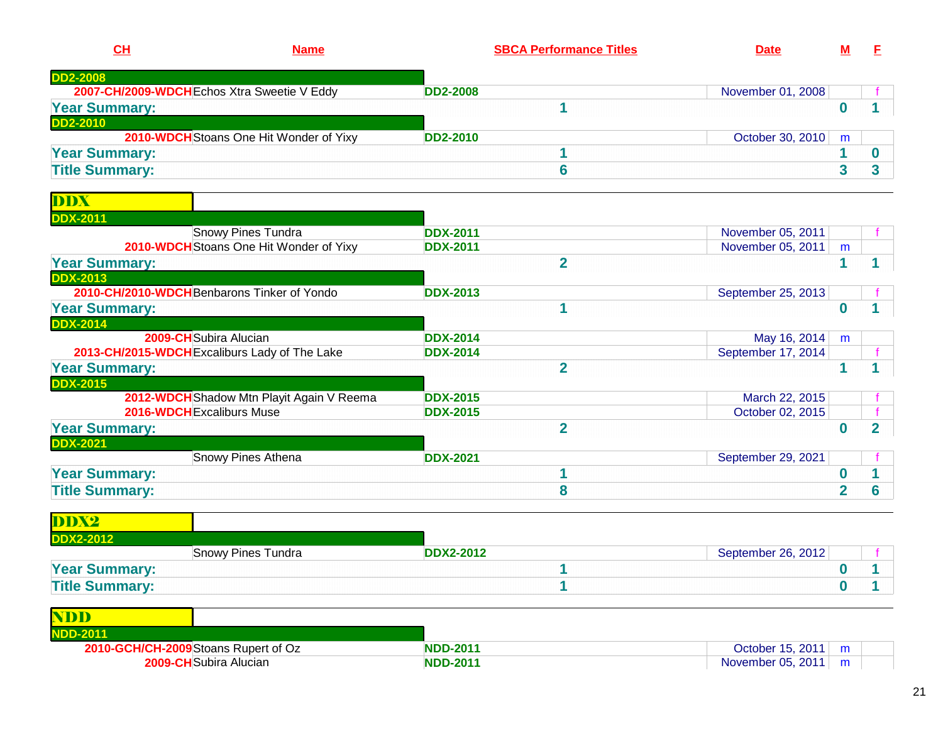| $CH$<br><b>Name</b>                         |                                         |                 | <b>SBCA Performance Titles</b> | <b>Date</b>          |  |
|---------------------------------------------|-----------------------------------------|-----------------|--------------------------------|----------------------|--|
| <b>DD2-2008</b>                             |                                         |                 |                                |                      |  |
| 2007-CH/2009-WDCH Echos Xtra Sweetie V Eddy |                                         | <b>DD2-2008</b> |                                | November 01, 2008    |  |
| <b>Year Summary:</b>                        |                                         |                 |                                |                      |  |
| <b>DD2-2010</b>                             |                                         |                 |                                |                      |  |
|                                             | 2010-WDCH Stoans One Hit Wonder of Yixy | <b>DD2-2010</b> |                                | October 30, 2010   m |  |
| <b>Year Summary:</b>                        |                                         |                 |                                |                      |  |

<u>**1** 6 4 3 3 3 3 3 4 3 3 4 3  $\pm$  6 4  $\pm$  6 4  $\pm$  6  $\pm$  6  $\pm$  6  $\pm$  6  $\pm$  6  $\pm$  6  $\pm$  6  $\pm$  6  $\pm$  6  $\pm$  6  $\pm$ </u>

**Title Summary:**

| <b>DDX-2011</b><br><b>Snowy Pines Tundra</b><br><b>DDX-2011</b><br>November 05, 2011<br>2010-WDCH Stoans One Hit Wonder of Yixy<br><b>DDX-2011</b><br>November 05, 2011<br>m<br><b>Year Summary:</b><br>$\overline{2}$<br><b>DDX-2013</b><br>2010-CH/2010-WDCH Benbarons Tinker of Yondo<br><b>DDX-2013</b><br>September 25, 2013 |   |
|-----------------------------------------------------------------------------------------------------------------------------------------------------------------------------------------------------------------------------------------------------------------------------------------------------------------------------------|---|
|                                                                                                                                                                                                                                                                                                                                   |   |
|                                                                                                                                                                                                                                                                                                                                   |   |
|                                                                                                                                                                                                                                                                                                                                   |   |
|                                                                                                                                                                                                                                                                                                                                   |   |
|                                                                                                                                                                                                                                                                                                                                   |   |
|                                                                                                                                                                                                                                                                                                                                   |   |
| <b>Year Summary:</b><br>U                                                                                                                                                                                                                                                                                                         |   |
| <b>DDX-2014</b>                                                                                                                                                                                                                                                                                                                   |   |
| <b>2009-CH</b> Subira Alucian<br><b>DDX-2014</b><br>May 16, 2014<br>m                                                                                                                                                                                                                                                             |   |
| September 17, 2014<br>2013-CH/2015-WDCH Excaliburs Lady of The Lake<br><b>DDX-2014</b>                                                                                                                                                                                                                                            |   |
| $\overline{2}$<br><b>Year Summary:</b>                                                                                                                                                                                                                                                                                            |   |
| <b>DDX-2015</b>                                                                                                                                                                                                                                                                                                                   |   |
| <b>DDX-2015</b><br>2012-WDCH Shadow Mtn Playit Again V Reema<br>March 22, 2015                                                                                                                                                                                                                                                    |   |
| 2016-WDCH Excaliburs Muse<br>October 02, 2015<br><b>DDX-2015</b>                                                                                                                                                                                                                                                                  |   |
| $\overline{2}$<br><b>Year Summary:</b><br>0                                                                                                                                                                                                                                                                                       | 2 |
| <b>DDX-2021</b>                                                                                                                                                                                                                                                                                                                   |   |
| Snowy Pines Athena<br><b>DDX-2021</b><br>September 29, 2021                                                                                                                                                                                                                                                                       |   |
| <b>Year Summary:</b>                                                                                                                                                                                                                                                                                                              |   |
| <b>Title Summary:</b><br>8<br>$\mathbf 2$                                                                                                                                                                                                                                                                                         | 6 |

| DDX2                  |                           |                  |                    |  |
|-----------------------|---------------------------|------------------|--------------------|--|
| <b>DDX2-2012</b>      |                           |                  |                    |  |
|                       | <b>Snowy Pines Tundra</b> | <b>DDX2-2012</b> | September 26, 2012 |  |
| <b>Year Summary:</b>  |                           |                  |                    |  |
| <b>Title Summary:</b> |                           |                  |                    |  |

| NDD                                  |                               |                 |                         |  |
|--------------------------------------|-------------------------------|-----------------|-------------------------|--|
| <b>NDD-2011</b>                      |                               |                 |                         |  |
| 2010-GCH/CH-2009 Stoans Rupert of Oz |                               | <b>NDD-2011</b> | October 15, 2011   $m$  |  |
|                                      | <b>2009-CH</b> Subira Alucian | <b>NDD-2011</b> | November 05, 2011   $m$ |  |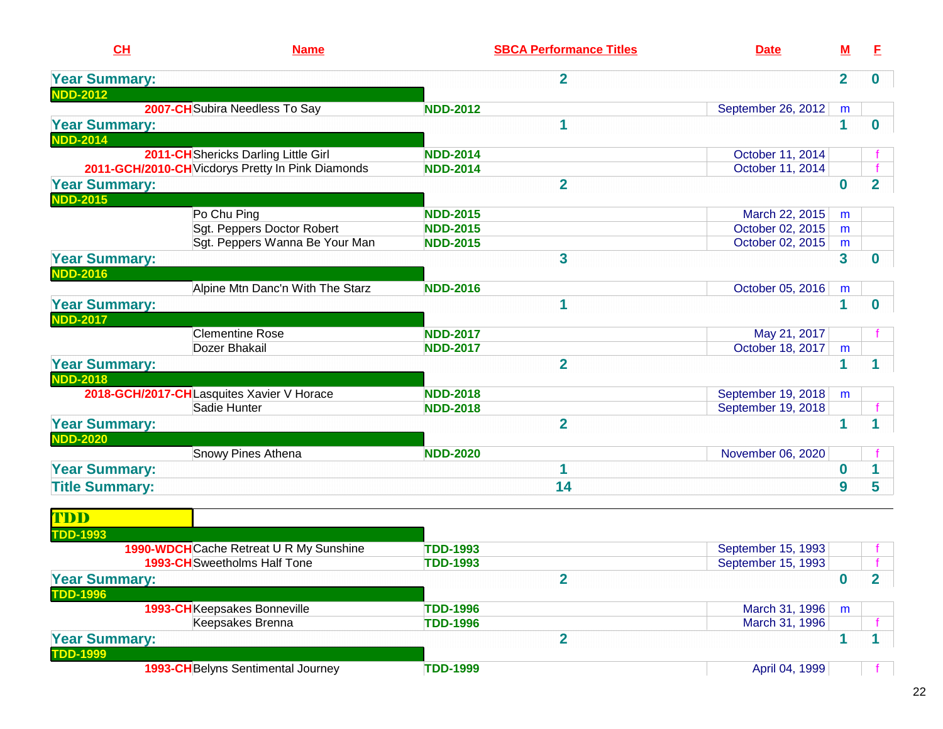| CH                                                           | <b>Name</b>                                       |                 | <b>SBCA Performance Titles</b> | <b>Date</b>        | Μ            | E              |
|--------------------------------------------------------------|---------------------------------------------------|-----------------|--------------------------------|--------------------|--------------|----------------|
| <b>Year Summary:</b>                                         |                                                   |                 | $\overline{2}$                 |                    | $\mathbf{2}$ | 0              |
| <b>NDD-2012</b>                                              | 2007-CH Subira Needless To Say                    | <b>NDD-2012</b> |                                | September 26, 2012 | m            |                |
| <b>Year Summary:</b>                                         |                                                   |                 | 1                              |                    | 1            | 0              |
| <b>NDD-2014</b>                                              | 2011-CH Shericks Darling Little Girl              | <b>NDD-2014</b> |                                | October 11, 2014   |              |                |
|                                                              | 2011-GCH/2010-CH Vicdorys Pretty In Pink Diamonds | <b>NDD-2014</b> |                                | October 11, 2014   |              |                |
| <b>Year Summary:</b><br><b>NDD-2015</b>                      |                                                   |                 | $\overline{2}$                 |                    | $\bf{0}$     | $\overline{2}$ |
|                                                              | Po Chu Ping                                       | <b>NDD-2015</b> |                                | March 22, 2015     | $\mathsf{m}$ |                |
|                                                              | Sgt. Peppers Doctor Robert                        | <b>NDD-2015</b> |                                | October 02, 2015   | m            |                |
|                                                              | Sgt. Peppers Wanna Be Your Man                    | <b>NDD-2015</b> |                                | October 02, 2015   | m            |                |
| <b>Year Summary:</b>                                         |                                                   |                 | 3                              |                    | 3            | 0              |
| <b>NDD-2016</b>                                              | Alpine Mtn Danc'n With The Starz                  | <b>NDD-2016</b> |                                | October 05, 2016   | m            |                |
| <b>Year Summary:</b><br><b>NDD-2017</b>                      |                                                   |                 | 1                              |                    | 1            | 0              |
|                                                              | <b>Clementine Rose</b>                            | <b>NDD-2017</b> |                                | May 21, 2017       |              |                |
|                                                              | Dozer Bhakail                                     | <b>NDD-2017</b> |                                | October 18, 2017   | m            |                |
| <b>Year Summary:</b>                                         |                                                   |                 | $\overline{2}$                 |                    | 1            |                |
| <b>NDD-2018</b><br>2018-GCH/2017-CHLasquites Xavier V Horace |                                                   | <b>NDD-2018</b> |                                | September 19, 2018 | m            |                |
|                                                              | Sadie Hunter                                      | <b>NDD-2018</b> |                                | September 19, 2018 |              |                |
| <b>Year Summary:</b>                                         |                                                   |                 | $\overline{2}$                 |                    | 1            |                |
| <b>NDD-2020</b>                                              |                                                   | <b>NDD-2020</b> |                                |                    |              |                |
|                                                              | Snowy Pines Athena                                |                 |                                | November 06, 2020  |              |                |
| <b>Year Summary:</b><br><b>Title Summary:</b>                |                                                   |                 | 1<br>14                        |                    | 0<br>9       | 5              |
|                                                              |                                                   |                 |                                |                    |              |                |
| TDD                                                          |                                                   |                 |                                |                    |              |                |
| <b>TDD-1993</b>                                              | 1990-WDCH Cache Retreat U R My Sunshine           | <b>TDD-1993</b> |                                | September 15, 1993 |              |                |
|                                                              | <b>1993-CH</b> Sweetholms Half Tone               | <b>TDD-1993</b> |                                | September 15, 1993 |              |                |
| <b>Year Summary:</b><br><b>TDD-1996</b>                      |                                                   |                 | $\overline{\mathbf{2}}$        |                    | $\bf{0}$     | $\mathbf 2$    |
|                                                              | 1993-CHKeepsakes Bonneville                       | <b>TDD-1996</b> |                                | March 31, 1996     | m            |                |
|                                                              | Keepsakes Brenna                                  | <b>TDD-1996</b> |                                | March 31, 1996     |              |                |
| <b>Year Summary:</b>                                         |                                                   |                 | $\overline{2}$                 |                    | $\mathbf 1$  |                |
| <b>TDD-1999</b>                                              | <b>1993-CH</b> Belyns Sentimental Journey         | <b>TDD-1999</b> |                                | April 04, 1999     |              |                |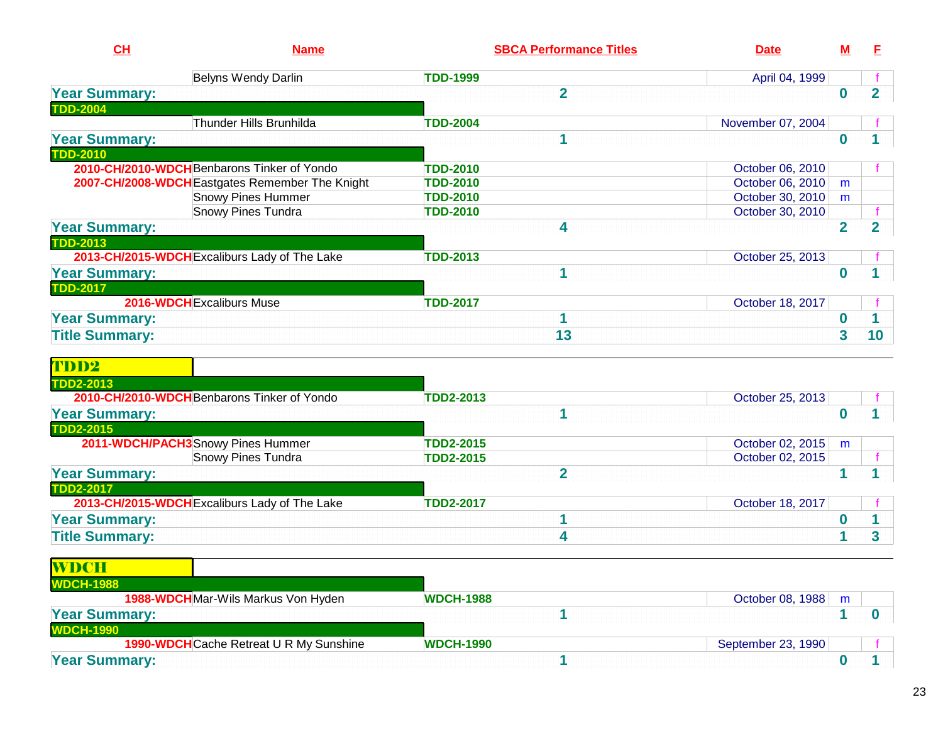| CL                    | <b>Name</b>                                     | <b>SBCA Performance Titles</b> | <b>Date</b>       | М              | F                       |
|-----------------------|-------------------------------------------------|--------------------------------|-------------------|----------------|-------------------------|
|                       | <b>Belyns Wendy Darlin</b>                      | <b>TDD-1999</b>                | April 04, 1999    |                |                         |
| <b>Year Summary:</b>  |                                                 | $\overline{2}$                 |                   | 0              | $\overline{2}$          |
| <b>TDD-2004</b>       |                                                 |                                |                   |                |                         |
|                       | Thunder Hills Brunhilda                         | <b>TDD-2004</b>                | November 07, 2004 |                |                         |
| <b>Year Summary:</b>  |                                                 |                                |                   | 0              |                         |
| <b>TDD-2010</b>       |                                                 |                                |                   |                |                         |
|                       | 2010-CH/2010-WDCH Benbarons Tinker of Yondo     | <b>TDD-2010</b>                | October 06, 2010  |                |                         |
|                       | 2007-CH/2008-WDCH Eastgates Remember The Knight | <b>TDD-2010</b>                | October 06, 2010  | m              |                         |
|                       | <b>Snowy Pines Hummer</b>                       | <b>TDD-2010</b>                | October 30, 2010  | m              |                         |
|                       | <b>Snowy Pines Tundra</b>                       | <b>TDD-2010</b>                | October 30, 2010  |                |                         |
| <b>Year Summary:</b>  |                                                 | 4                              |                   | $\overline{2}$ | $\overline{\mathbf{2}}$ |
| <b>TDD-2013</b>       |                                                 |                                |                   |                |                         |
|                       | 2013-CH/2015-WDCH Excaliburs Lady of The Lake   | <b>TDD-2013</b>                | October 25, 2013  |                |                         |
| <b>Year Summary:</b>  |                                                 |                                |                   | 0              |                         |
| <b>TDD-2017</b>       |                                                 |                                |                   |                |                         |
|                       | 2016-WDCH Excaliburs Muse                       | <b>TDD-2017</b>                | October 18, 2017  |                |                         |
| <b>Year Summary:</b>  |                                                 |                                |                   | 0              |                         |
| <b>Title Summary:</b> |                                                 | 13                             |                   | 3              | 10                      |
| TDD2                  |                                                 |                                |                   |                |                         |
| <b>TDD2-2013</b>      |                                                 |                                |                   |                |                         |

| $\blacksquare$ DDA-AV $\blacksquare$          |                  |                  |   |  |
|-----------------------------------------------|------------------|------------------|---|--|
| 2010-CH/2010-WDCH Benbarons Tinker of Yondo   | <b>TDD2-2013</b> | October 25, 2013 |   |  |
| <b>Year Summary:</b>                          |                  |                  |   |  |
| <b>TDD2-2015</b>                              |                  |                  |   |  |
| 2011-WDCH/PACH3Snowy Pines Hummer             | TDD2-2015        | October 02, 2015 | m |  |
| <b>Snowy Pines Tundra</b>                     | <b>TDD2-2015</b> | October 02, 2015 |   |  |
| <b>Year Summary:</b>                          |                  |                  |   |  |
| <b>TDD2-2017</b>                              |                  |                  |   |  |
| 2013-CH/2015-WDCH Excaliburs Lady of The Lake | <b>TDD2-2017</b> | October 18, 2017 |   |  |
| <b>Year Summary:</b>                          |                  |                  |   |  |
| <b>Title Summary:</b>                         |                  |                  |   |  |
|                                               |                  |                  |   |  |

| WDCH                                    |                  |                    |   |  |
|-----------------------------------------|------------------|--------------------|---|--|
| <b>WDCH-1988</b>                        |                  |                    |   |  |
| 1988-WDCHMar-Wils Markus Von Hyden      | <b>WDCH-1988</b> | October 08, 1988   | m |  |
| <b>Year Summary:</b>                    |                  |                    |   |  |
| <b>WDCH-1990</b>                        |                  |                    |   |  |
| 1990-WDCH Cache Retreat U R My Sunshine | <b>WDCH-1990</b> | September 23, 1990 |   |  |
| <b>Year Summary:</b>                    |                  |                    |   |  |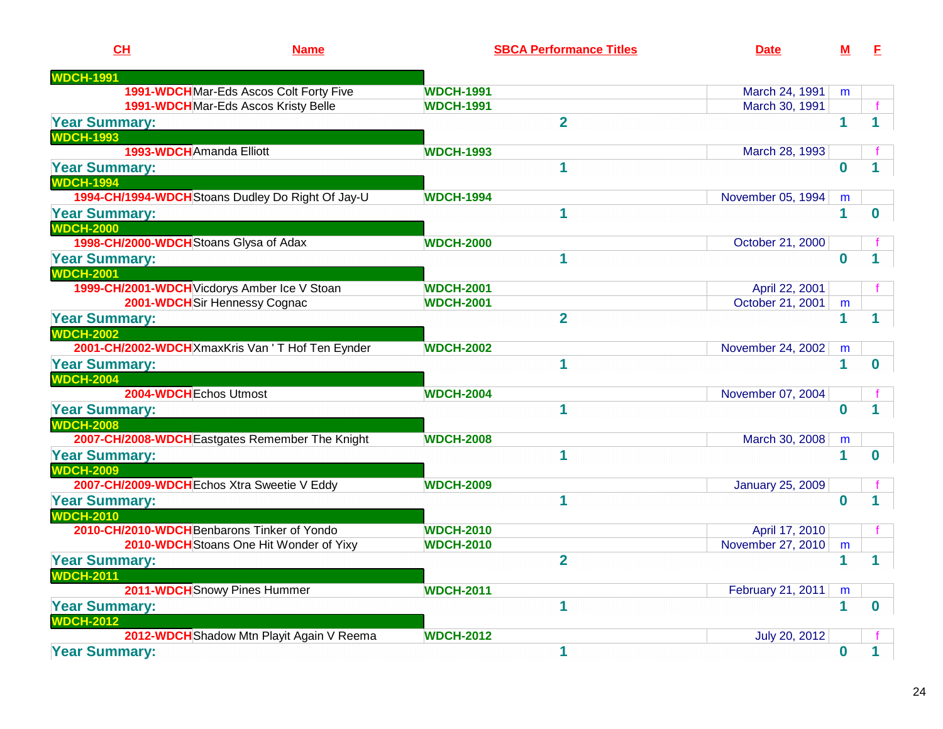| CH                                                | <b>Name</b>                               | <b>SBCA Performance Titles</b>       | <b>Date</b>                         | M            | F.       |
|---------------------------------------------------|-------------------------------------------|--------------------------------------|-------------------------------------|--------------|----------|
| <b>WDCH-1991</b>                                  |                                           |                                      |                                     |              |          |
|                                                   | 1991-WDCH Mar-Eds Ascos Colt Forty Five   | <b>WDCH-1991</b>                     | March 24, 1991                      | m            |          |
| 1991-WDCHMar-Eds Ascos Kristy Belle               |                                           | <b>WDCH-1991</b>                     | March 30, 1991                      |              |          |
| <b>Year Summary:</b>                              |                                           | $\overline{2}$                       |                                     | 1            |          |
| <b>WDCH-1993</b>                                  |                                           |                                      |                                     |              |          |
| 1993-WDCH Amanda Elliott                          |                                           | <b>WDCH-1993</b>                     | March 28, 1993                      |              |          |
| <b>Year Summary:</b>                              |                                           | 1                                    |                                     | $\bf{0}$     |          |
| <b>WDCH-1994</b>                                  |                                           |                                      |                                     |              |          |
| 1994-CH/1994-WDCH Stoans Dudley Do Right Of Jay-U |                                           | <b>WDCH-1994</b>                     | November 05, 1994                   | m            |          |
| <b>Year Summary:</b>                              |                                           | 1                                    |                                     | 1            | 0        |
| <b>WDCH-2000</b>                                  |                                           |                                      |                                     |              |          |
| 1998-CH/2000-WDCH Stoans Glysa of Adax            |                                           | <b>WDCH-2000</b>                     | October 21, 2000                    |              |          |
| <b>Year Summary:</b><br><b>WDCH-2001</b>          |                                           | 1                                    |                                     | $\bf{0}$     |          |
| 1999-CH/2001-WDCH Vicdorys Amber Ice V Stoan      |                                           | <b>WDCH-2001</b>                     | April 22, 2001                      |              |          |
| 2001-WDCHSir Hennessy Cognac                      |                                           | <b>WDCH-2001</b>                     | October 21, 2001                    | m            |          |
| <b>Year Summary:</b>                              |                                           | $\overline{2}$                       |                                     | 1            |          |
| <b>WDCH-2002</b>                                  |                                           |                                      |                                     |              |          |
| 2001-CH/2002-WDCH XmaxKris Van ' T Hof Ten Eynder |                                           | <b>WDCH-2002</b>                     | November 24, 2002                   | m            |          |
| <b>Year Summary:</b>                              |                                           | 1                                    |                                     | 1            | 0        |
| <b>WDCH-2004</b>                                  |                                           |                                      |                                     |              |          |
| 2004-WDCH Echos Utmost                            |                                           | <b>WDCH-2004</b>                     | November 07, 2004                   |              |          |
| <b>Year Summary:</b>                              |                                           | 1                                    |                                     | $\bf{0}$     |          |
| <b>WDCH-2008</b>                                  |                                           |                                      |                                     |              |          |
| 2007-CH/2008-WDCH Eastgates Remember The Knight   |                                           | <b>WDCH-2008</b>                     | March 30, 2008                      | m            |          |
| <b>Year Summary:</b>                              |                                           | 1                                    |                                     | 1            | O        |
| <b>WDCH-2009</b>                                  |                                           |                                      |                                     |              |          |
| 2007-CH/2009-WDCH Echos Xtra Sweetie V Eddy       |                                           | <b>WDCH-2009</b>                     | <b>January 25, 2009</b>             |              |          |
| <b>Year Summary:</b>                              |                                           | И                                    |                                     | $\bf{0}$     |          |
| <b>WDCH-2010</b>                                  |                                           |                                      |                                     |              |          |
| 2010-CH/2010-WDCH Benbarons Tinker of Yondo       | 2010-WDCH Stoans One Hit Wonder of Yixy   | <b>WDCH-2010</b><br><b>WDCH-2010</b> | April 17, 2010<br>November 27, 2010 |              |          |
| <b>Year Summary:</b>                              |                                           | $\overline{2}$                       |                                     | m            |          |
| <b>WDCH-2011</b>                                  |                                           |                                      |                                     |              |          |
| 2011-WDCH Snowy Pines Hummer                      |                                           | <b>WDCH-2011</b>                     | February 21, 2011                   | m            |          |
| <b>Year Summary:</b>                              |                                           | 1                                    |                                     | $\mathbf{1}$ | $\bf{0}$ |
| <b>WDCH-2012</b>                                  |                                           |                                      |                                     |              |          |
|                                                   | 2012-WDCH Shadow Mtn Playit Again V Reema | <b>WDCH-2012</b>                     | July 20, 2012                       |              |          |
| <b>Year Summary:</b>                              |                                           | 1                                    |                                     | $\bf{0}$     | 1        |